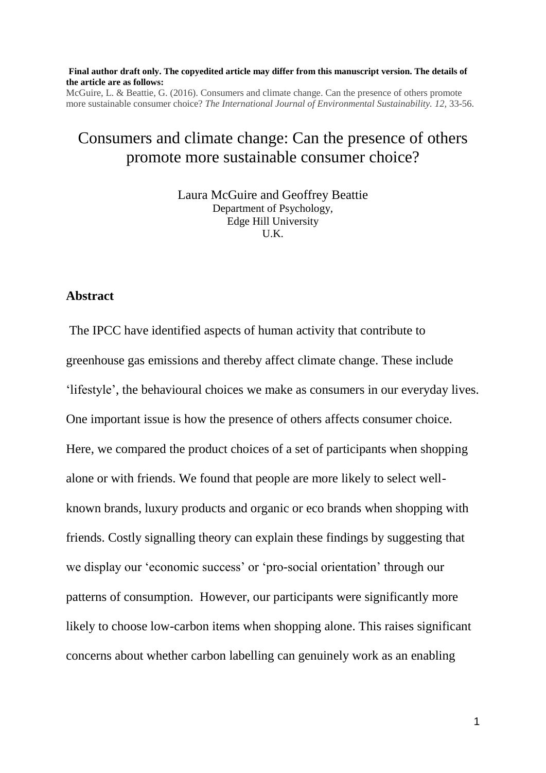#### **Final author draft only. The copyedited article may differ from this manuscript version. The details of the article are as follows:**

McGuire, L. & Beattie, G. (2016). Consumers and climate change. Can the presence of others promote more sustainable consumer choice? *The International Journal of Environmental Sustainability. 12,* 33-56.

# Consumers and climate change: Can the presence of others promote more sustainable consumer choice?

Laura McGuire and Geoffrey Beattie Department of Psychology, Edge Hill University U.K.

### **Abstract**

The IPCC have identified aspects of human activity that contribute to greenhouse gas emissions and thereby affect climate change. These include 'lifestyle', the behavioural choices we make as consumers in our everyday lives. One important issue is how the presence of others affects consumer choice. Here, we compared the product choices of a set of participants when shopping alone or with friends. We found that people are more likely to select wellknown brands, luxury products and organic or eco brands when shopping with friends. Costly signalling theory can explain these findings by suggesting that we display our 'economic success' or 'pro-social orientation' through our patterns of consumption. However, our participants were significantly more likely to choose low-carbon items when shopping alone. This raises significant concerns about whether carbon labelling can genuinely work as an enabling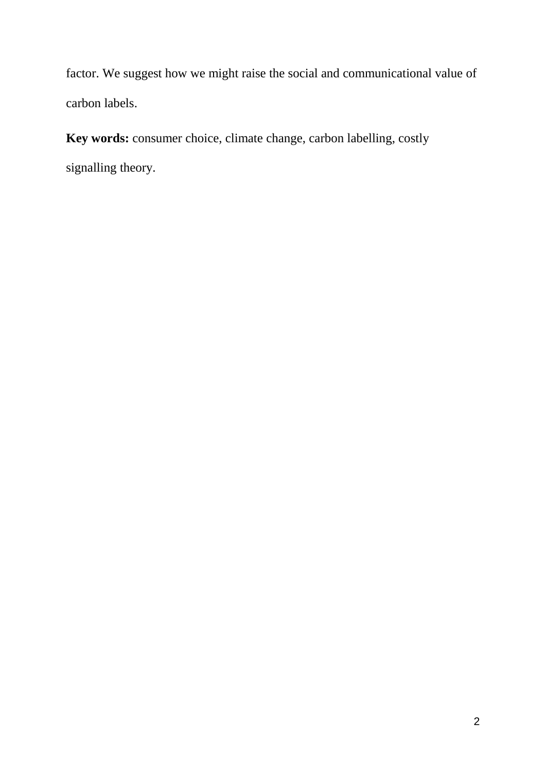factor. We suggest how we might raise the social and communicational value of carbon labels.

**Key words:** consumer choice, climate change, carbon labelling, costly signalling theory.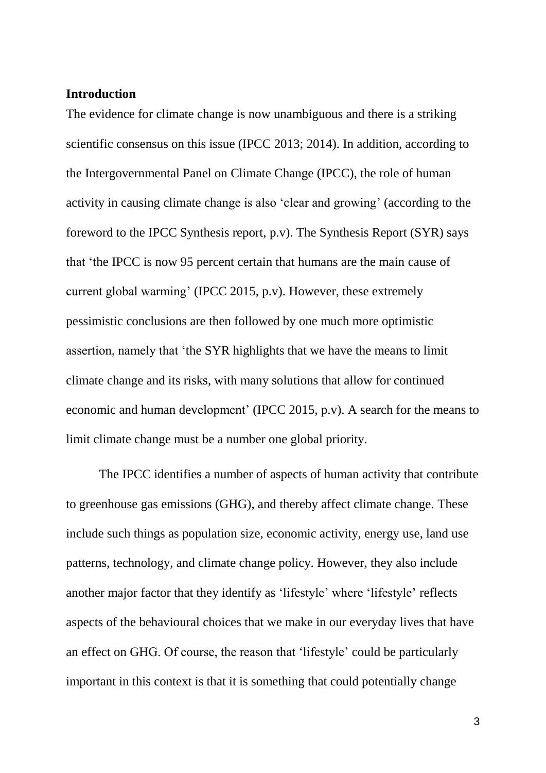## **Introduction**

The evidence for climate change is now unambiguous and there is a striking scientific consensus on this issue (IPCC 2013; 2014). In addition, according to the Intergovernmental Panel on Climate Change (IPCC), the role of human activity in causing climate change is also 'clear and growing' (according to the foreword to the IPCC Synthesis report, p.v). The Synthesis Report (SYR) says that 'the IPCC is now 95 percent certain that humans are the main cause of current global warming' (IPCC 2015, p.v). However, these extremely pessimistic conclusions are then followed by one much more optimistic assertion, namely that 'the SYR highlights that we have the means to limit climate change and its risks, with many solutions that allow for continued economic and human development' (IPCC 2015, p.v). A search for the means to limit climate change must be a number one global priority.

The IPCC identifies a number of aspects of human activity that contribute to greenhouse gas emissions (GHG), and thereby affect climate change. These include such things as population size, economic activity, energy use, land use patterns, technology, and climate change policy. However, they also include another major factor that they identify as 'lifestyle' where 'lifestyle' reflects aspects of the behavioural choices that we make in our everyday lives that have an effect on GHG. Of course, the reason that 'lifestyle' could be particularly important in this context is that it is something that could potentially change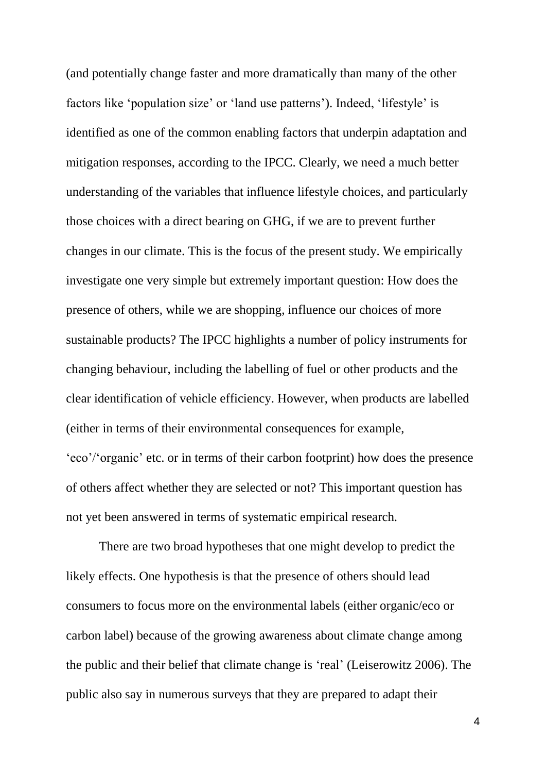(and potentially change faster and more dramatically than many of the other factors like 'population size' or 'land use patterns'). Indeed, 'lifestyle' is identified as one of the common enabling factors that underpin adaptation and mitigation responses, according to the IPCC. Clearly, we need a much better understanding of the variables that influence lifestyle choices, and particularly those choices with a direct bearing on GHG, if we are to prevent further changes in our climate. This is the focus of the present study. We empirically investigate one very simple but extremely important question: How does the presence of others, while we are shopping, influence our choices of more sustainable products? The IPCC highlights a number of policy instruments for changing behaviour, including the labelling of fuel or other products and the clear identification of vehicle efficiency. However, when products are labelled (either in terms of their environmental consequences for example, 'eco'/'organic' etc. or in terms of their carbon footprint) how does the presence of others affect whether they are selected or not? This important question has not yet been answered in terms of systematic empirical research.

There are two broad hypotheses that one might develop to predict the likely effects. One hypothesis is that the presence of others should lead consumers to focus more on the environmental labels (either organic/eco or carbon label) because of the growing awareness about climate change among the public and their belief that climate change is 'real' (Leiserowitz 2006). The public also say in numerous surveys that they are prepared to adapt their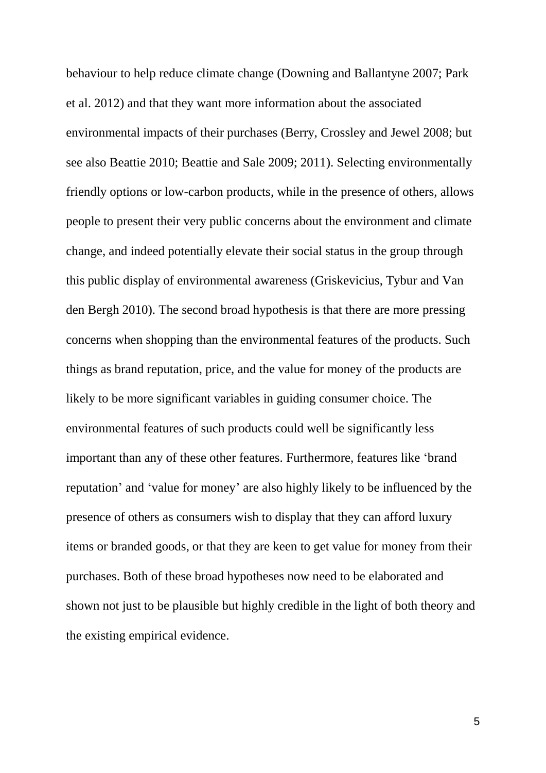behaviour to help reduce climate change (Downing and Ballantyne 2007; Park et al. 2012) and that they want more information about the associated environmental impacts of their purchases (Berry, Crossley and Jewel 2008; but see also Beattie 2010; Beattie and Sale 2009; 2011). Selecting environmentally friendly options or low-carbon products, while in the presence of others, allows people to present their very public concerns about the environment and climate change, and indeed potentially elevate their social status in the group through this public display of environmental awareness (Griskevicius, Tybur and Van den Bergh 2010). The second broad hypothesis is that there are more pressing concerns when shopping than the environmental features of the products. Such things as brand reputation, price, and the value for money of the products are likely to be more significant variables in guiding consumer choice. The environmental features of such products could well be significantly less important than any of these other features. Furthermore, features like 'brand reputation' and 'value for money' are also highly likely to be influenced by the presence of others as consumers wish to display that they can afford luxury items or branded goods, or that they are keen to get value for money from their purchases. Both of these broad hypotheses now need to be elaborated and shown not just to be plausible but highly credible in the light of both theory and the existing empirical evidence.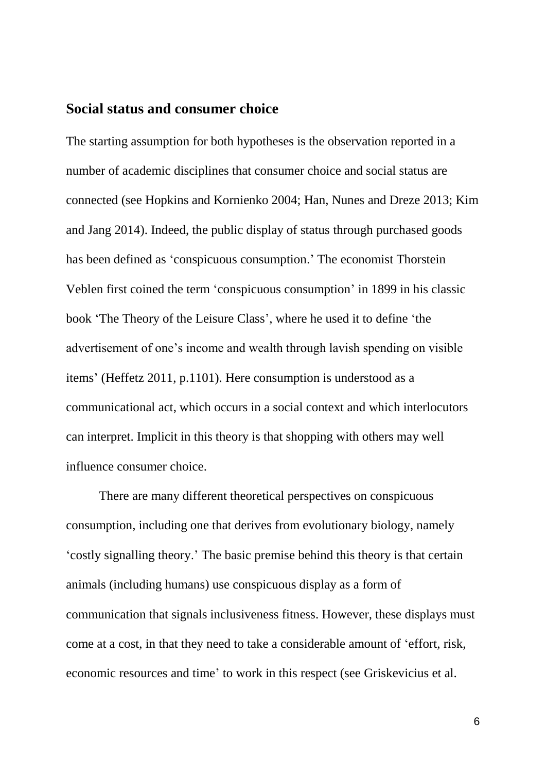## **Social status and consumer choice**

The starting assumption for both hypotheses is the observation reported in a number of academic disciplines that consumer choice and social status are connected (see Hopkins and Kornienko 2004; Han, Nunes and Dreze 2013; Kim and Jang 2014). Indeed, the public display of status through purchased goods has been defined as 'conspicuous consumption.' The economist Thorstein Veblen first coined the term 'conspicuous consumption' in 1899 in his classic book 'The Theory of the Leisure Class', where he used it to define 'the advertisement of one's income and wealth through lavish spending on visible items' (Heffetz 2011, p.1101). Here consumption is understood as a communicational act, which occurs in a social context and which interlocutors can interpret. Implicit in this theory is that shopping with others may well influence consumer choice.

There are many different theoretical perspectives on conspicuous consumption, including one that derives from evolutionary biology, namely 'costly signalling theory.' The basic premise behind this theory is that certain animals (including humans) use conspicuous display as a form of communication that signals inclusiveness fitness. However, these displays must come at a cost, in that they need to take a considerable amount of 'effort, risk, economic resources and time' to work in this respect (see Griskevicius et al.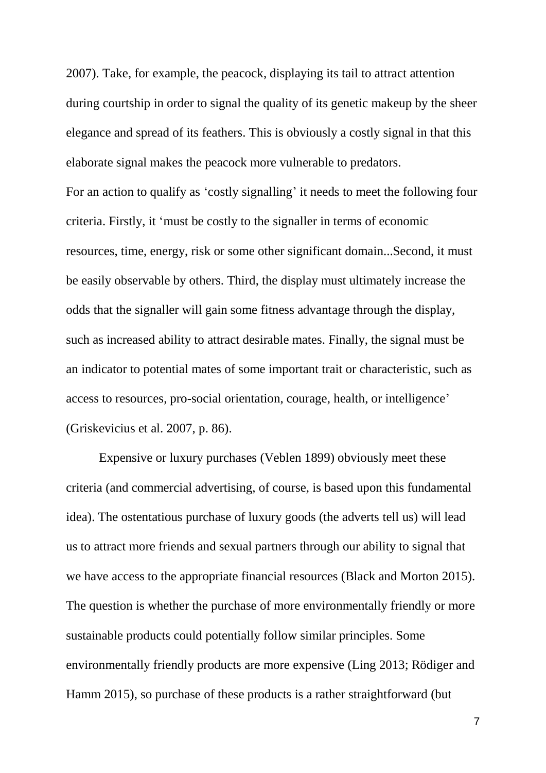2007). Take, for example, the peacock, displaying its tail to attract attention during courtship in order to signal the quality of its genetic makeup by the sheer elegance and spread of its feathers. This is obviously a costly signal in that this elaborate signal makes the peacock more vulnerable to predators.

For an action to qualify as 'costly signalling' it needs to meet the following four criteria. Firstly, it 'must be costly to the signaller in terms of economic resources, time, energy, risk or some other significant domain...Second, it must be easily observable by others. Third, the display must ultimately increase the odds that the signaller will gain some fitness advantage through the display, such as increased ability to attract desirable mates. Finally, the signal must be an indicator to potential mates of some important trait or characteristic, such as access to resources, pro-social orientation, courage, health, or intelligence' (Griskevicius et al. 2007, p. 86).

Expensive or luxury purchases (Veblen 1899) obviously meet these criteria (and commercial advertising, of course, is based upon this fundamental idea). The ostentatious purchase of luxury goods (the adverts tell us) will lead us to attract more friends and sexual partners through our ability to signal that we have access to the appropriate financial resources (Black and Morton 2015). The question is whether the purchase of more environmentally friendly or more sustainable products could potentially follow similar principles. Some environmentally friendly products are more expensive (Ling 2013; Rödiger and Hamm 2015), so purchase of these products is a rather straightforward (but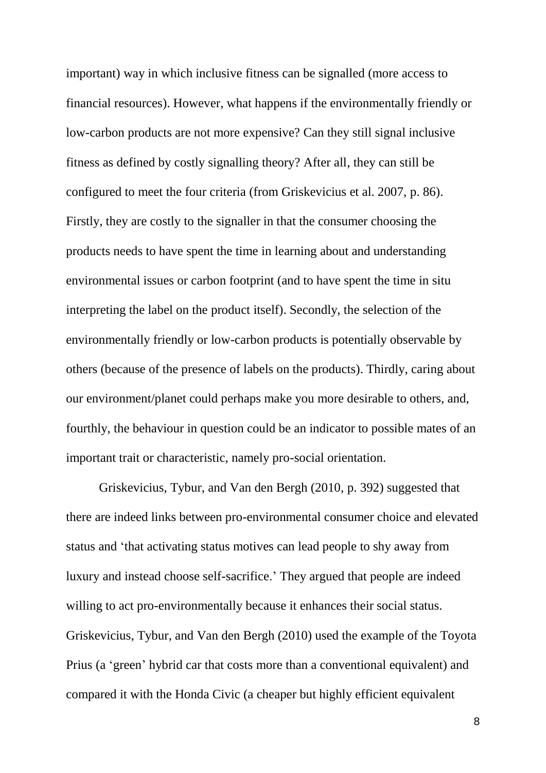important) way in which inclusive fitness can be signalled (more access to financial resources). However, what happens if the environmentally friendly or low-carbon products are not more expensive? Can they still signal inclusive fitness as defined by costly signalling theory? After all, they can still be configured to meet the four criteria (from Griskevicius et al. 2007, p. 86). Firstly, they are costly to the signaller in that the consumer choosing the products needs to have spent the time in learning about and understanding environmental issues or carbon footprint (and to have spent the time in situ interpreting the label on the product itself). Secondly, the selection of the environmentally friendly or low-carbon products is potentially observable by others (because of the presence of labels on the products). Thirdly, caring about our environment/planet could perhaps make you more desirable to others, and, fourthly, the behaviour in question could be an indicator to possible mates of an important trait or characteristic, namely pro-social orientation.

Griskevicius, Tybur, and Van den Bergh (2010, p. 392) suggested that there are indeed links between pro-environmental consumer choice and elevated status and 'that activating status motives can lead people to shy away from luxury and instead choose self-sacrifice.' They argued that people are indeed willing to act pro-environmentally because it enhances their social status. Griskevicius, Tybur, and Van den Bergh (2010) used the example of the Toyota Prius (a 'green' hybrid car that costs more than a conventional equivalent) and compared it with the Honda Civic (a cheaper but highly efficient equivalent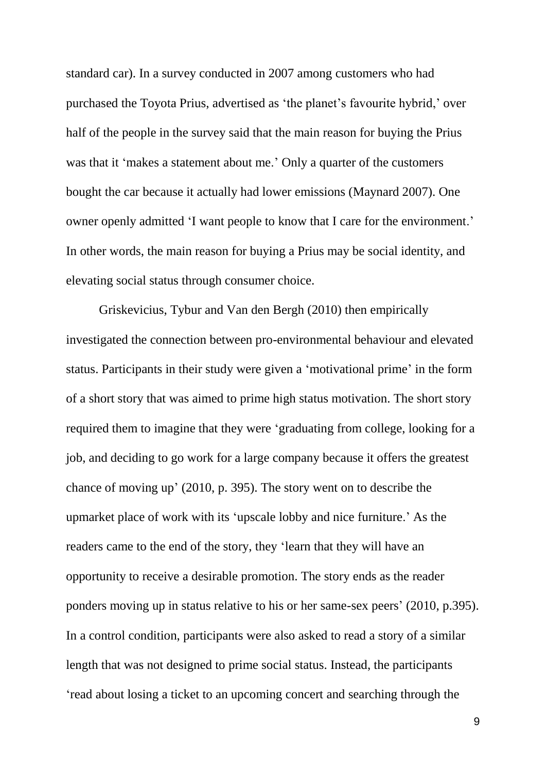standard car). In a survey conducted in 2007 among customers who had purchased the Toyota Prius, advertised as 'the planet's favourite hybrid,' over half of the people in the survey said that the main reason for buying the Prius was that it 'makes a statement about me.' Only a quarter of the customers bought the car because it actually had lower emissions (Maynard 2007). One owner openly admitted 'I want people to know that I care for the environment.' In other words, the main reason for buying a Prius may be social identity, and elevating social status through consumer choice.

Griskevicius, Tybur and Van den Bergh (2010) then empirically investigated the connection between pro-environmental behaviour and elevated status. Participants in their study were given a 'motivational prime' in the form of a short story that was aimed to prime high status motivation. The short story required them to imagine that they were 'graduating from college, looking for a job, and deciding to go work for a large company because it offers the greatest chance of moving up' (2010, p. 395). The story went on to describe the upmarket place of work with its 'upscale lobby and nice furniture.' As the readers came to the end of the story, they 'learn that they will have an opportunity to receive a desirable promotion. The story ends as the reader ponders moving up in status relative to his or her same-sex peers' (2010, p.395). In a control condition, participants were also asked to read a story of a similar length that was not designed to prime social status. Instead, the participants 'read about losing a ticket to an upcoming concert and searching through the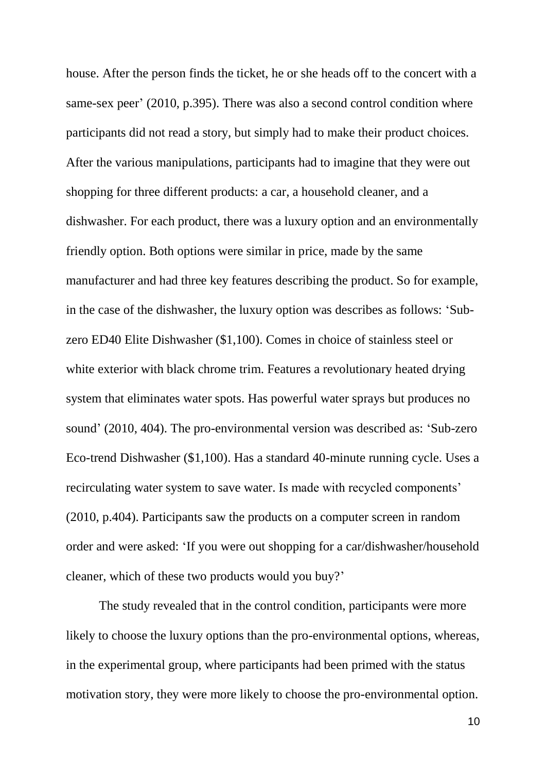house. After the person finds the ticket, he or she heads off to the concert with a same-sex peer' (2010, p.395). There was also a second control condition where participants did not read a story, but simply had to make their product choices. After the various manipulations, participants had to imagine that they were out shopping for three different products: a car, a household cleaner, and a dishwasher. For each product, there was a luxury option and an environmentally friendly option. Both options were similar in price, made by the same manufacturer and had three key features describing the product. So for example, in the case of the dishwasher, the luxury option was describes as follows: 'Subzero ED40 Elite Dishwasher (\$1,100). Comes in choice of stainless steel or white exterior with black chrome trim. Features a revolutionary heated drying system that eliminates water spots. Has powerful water sprays but produces no sound' (2010, 404). The pro-environmental version was described as: 'Sub-zero Eco-trend Dishwasher (\$1,100). Has a standard 40-minute running cycle. Uses a recirculating water system to save water. Is made with recycled components' (2010, p.404). Participants saw the products on a computer screen in random order and were asked: 'If you were out shopping for a car/dishwasher/household cleaner, which of these two products would you buy?'

The study revealed that in the control condition, participants were more likely to choose the luxury options than the pro-environmental options, whereas, in the experimental group, where participants had been primed with the status motivation story, they were more likely to choose the pro-environmental option.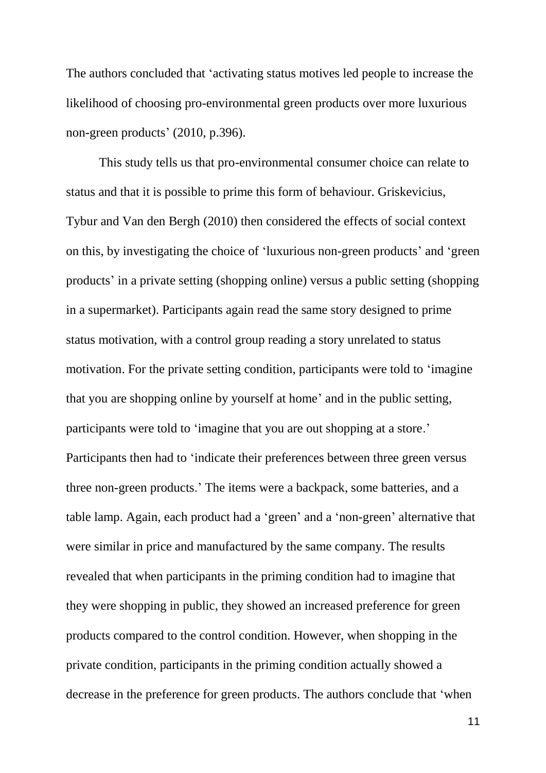The authors concluded that 'activating status motives led people to increase the likelihood of choosing pro-environmental green products over more luxurious non-green products' (2010, p.396).

This study tells us that pro-environmental consumer choice can relate to status and that it is possible to prime this form of behaviour. Griskevicius, Tybur and Van den Bergh (2010) then considered the effects of social context on this, by investigating the choice of 'luxurious non-green products' and 'green products' in a private setting (shopping online) versus a public setting (shopping in a supermarket). Participants again read the same story designed to prime status motivation, with a control group reading a story unrelated to status motivation. For the private setting condition, participants were told to 'imagine that you are shopping online by yourself at home' and in the public setting, participants were told to 'imagine that you are out shopping at a store.' Participants then had to 'indicate their preferences between three green versus three non-green products.' The items were a backpack, some batteries, and a table lamp. Again, each product had a 'green' and a 'non-green' alternative that were similar in price and manufactured by the same company. The results revealed that when participants in the priming condition had to imagine that they were shopping in public, they showed an increased preference for green products compared to the control condition. However, when shopping in the private condition, participants in the priming condition actually showed a decrease in the preference for green products. The authors conclude that 'when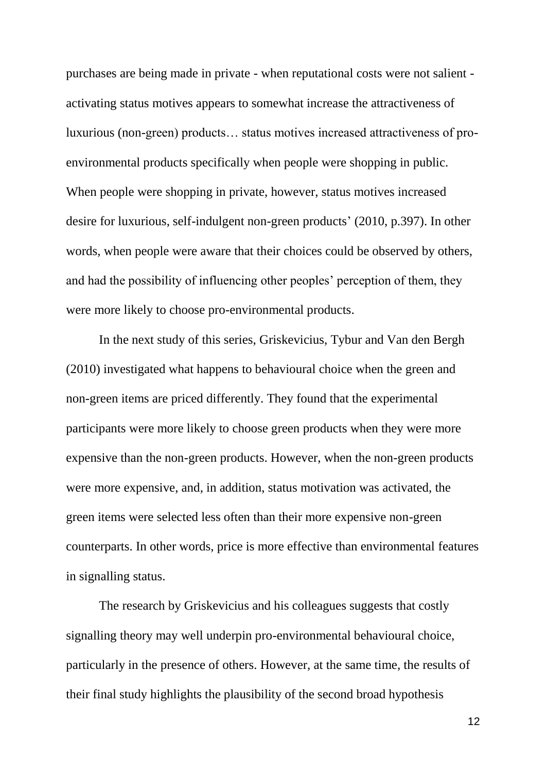purchases are being made in private - when reputational costs were not salient activating status motives appears to somewhat increase the attractiveness of luxurious (non-green) products… status motives increased attractiveness of proenvironmental products specifically when people were shopping in public. When people were shopping in private, however, status motives increased desire for luxurious, self-indulgent non-green products' (2010, p.397). In other words, when people were aware that their choices could be observed by others, and had the possibility of influencing other peoples' perception of them, they were more likely to choose pro-environmental products.

In the next study of this series, Griskevicius, Tybur and Van den Bergh (2010) investigated what happens to behavioural choice when the green and non-green items are priced differently. They found that the experimental participants were more likely to choose green products when they were more expensive than the non-green products. However, when the non-green products were more expensive, and, in addition, status motivation was activated, the green items were selected less often than their more expensive non-green counterparts. In other words, price is more effective than environmental features in signalling status.

The research by Griskevicius and his colleagues suggests that costly signalling theory may well underpin pro-environmental behavioural choice, particularly in the presence of others. However, at the same time, the results of their final study highlights the plausibility of the second broad hypothesis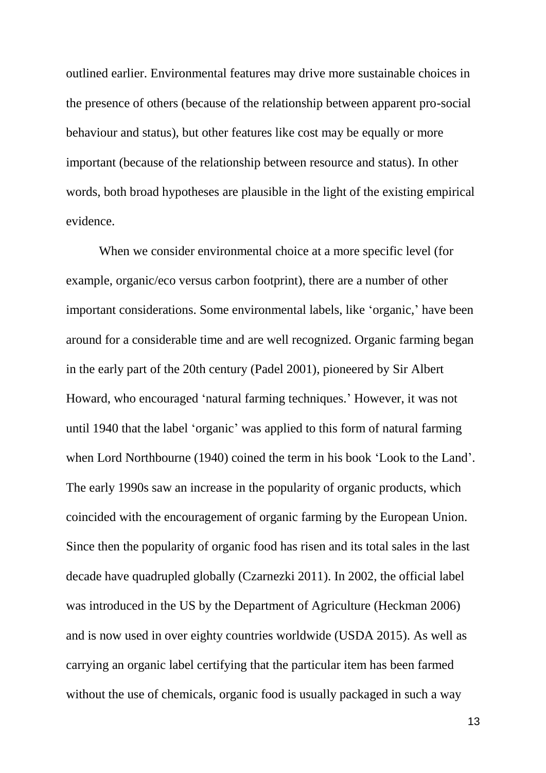outlined earlier. Environmental features may drive more sustainable choices in the presence of others (because of the relationship between apparent pro-social behaviour and status), but other features like cost may be equally or more important (because of the relationship between resource and status). In other words, both broad hypotheses are plausible in the light of the existing empirical evidence.

When we consider environmental choice at a more specific level (for example, organic/eco versus carbon footprint), there are a number of other important considerations. Some environmental labels, like 'organic,' have been around for a considerable time and are well recognized. Organic farming began in the early part of the 20th century (Padel 2001), pioneered by Sir Albert Howard, who encouraged 'natural farming techniques.' However, it was not until 1940 that the label 'organic' was applied to this form of natural farming when Lord Northbourne (1940) coined the term in his book 'Look to the Land'. The early 1990s saw an increase in the popularity of organic products, which coincided with the encouragement of organic farming by the European Union. Since then the popularity of organic food has risen and its total sales in the last decade have quadrupled globally (Czarnezki 2011). In 2002, the official label was introduced in the US by the Department of Agriculture (Heckman 2006) and is now used in over eighty countries worldwide (USDA 2015). As well as carrying an organic label certifying that the particular item has been farmed without the use of chemicals, organic food is usually packaged in such a way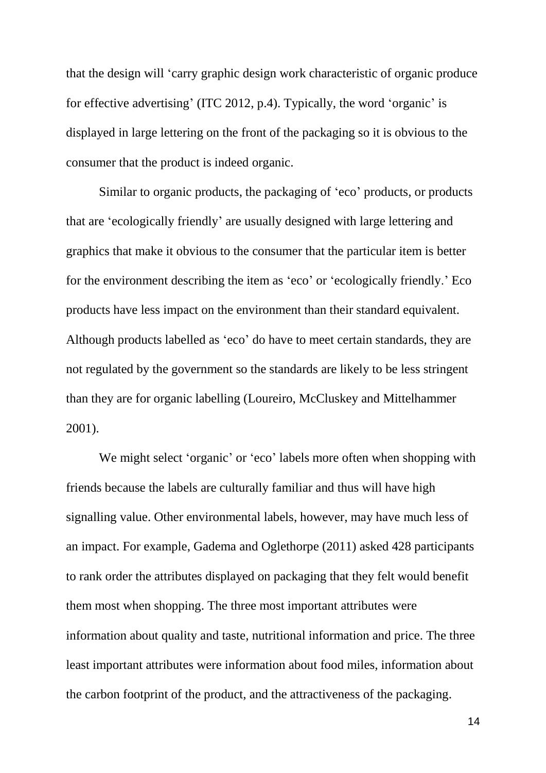that the design will 'carry graphic design work characteristic of organic produce for effective advertising' (ITC 2012, p.4). Typically, the word 'organic' is displayed in large lettering on the front of the packaging so it is obvious to the consumer that the product is indeed organic.

Similar to organic products, the packaging of 'eco' products, or products that are 'ecologically friendly' are usually designed with large lettering and graphics that make it obvious to the consumer that the particular item is better for the environment describing the item as 'eco' or 'ecologically friendly.' Eco products have less impact on the environment than their standard equivalent. Although products labelled as 'eco' do have to meet certain standards, they are not regulated by the government so the standards are likely to be less stringent than they are for organic labelling (Loureiro, McCluskey and Mittelhammer 2001).

We might select 'organic' or 'eco' labels more often when shopping with friends because the labels are culturally familiar and thus will have high signalling value. Other environmental labels, however, may have much less of an impact. For example, Gadema and Oglethorpe (2011) asked 428 participants to rank order the attributes displayed on packaging that they felt would benefit them most when shopping. The three most important attributes were information about quality and taste, nutritional information and price. The three least important attributes were information about food miles, information about the carbon footprint of the product, and the attractiveness of the packaging.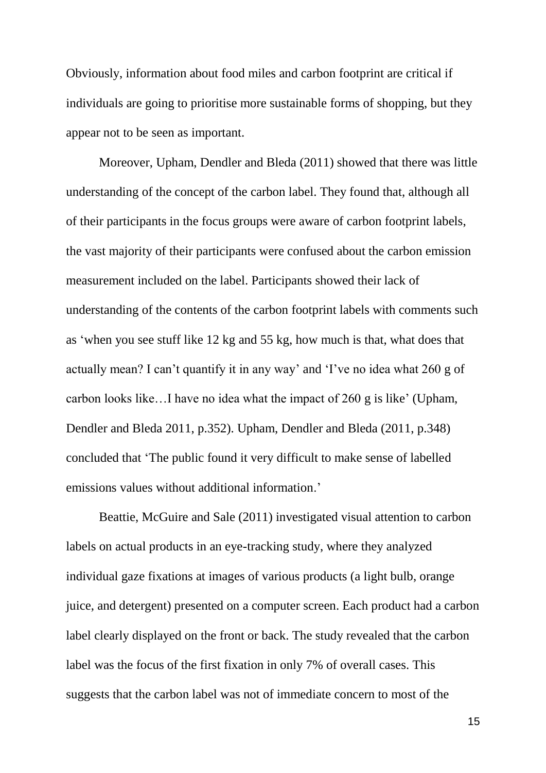Obviously, information about food miles and carbon footprint are critical if individuals are going to prioritise more sustainable forms of shopping, but they appear not to be seen as important.

Moreover, Upham, Dendler and Bleda (2011) showed that there was little understanding of the concept of the carbon label. They found that, although all of their participants in the focus groups were aware of carbon footprint labels, the vast majority of their participants were confused about the carbon emission measurement included on the label. Participants showed their lack of understanding of the contents of the carbon footprint labels with comments such as 'when you see stuff like 12 kg and 55 kg, how much is that, what does that actually mean? I can't quantify it in any way' and 'I've no idea what 260 g of carbon looks like…I have no idea what the impact of 260 g is like' (Upham, Dendler and Bleda 2011, p.352). Upham, Dendler and Bleda (2011, p.348) concluded that 'The public found it very difficult to make sense of labelled emissions values without additional information.'

Beattie, McGuire and Sale (2011) investigated visual attention to carbon labels on actual products in an eye-tracking study, where they analyzed individual gaze fixations at images of various products (a light bulb, orange juice, and detergent) presented on a computer screen. Each product had a carbon label clearly displayed on the front or back. The study revealed that the carbon label was the focus of the first fixation in only 7% of overall cases. This suggests that the carbon label was not of immediate concern to most of the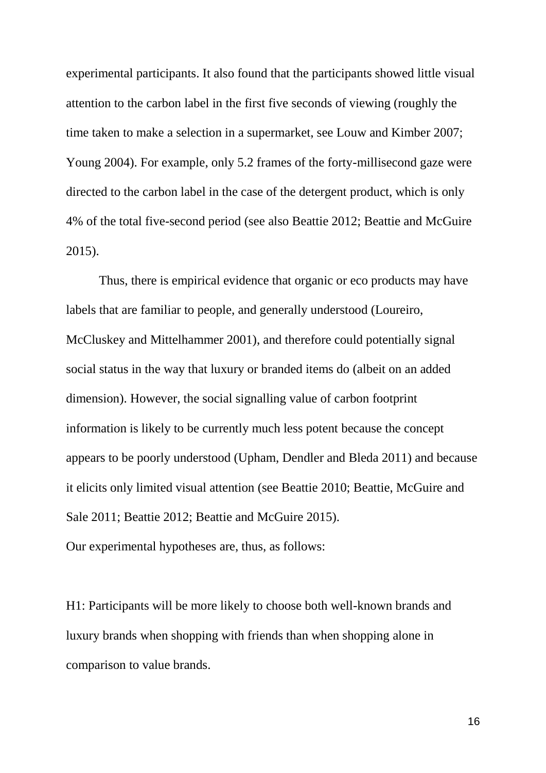experimental participants. It also found that the participants showed little visual attention to the carbon label in the first five seconds of viewing (roughly the time taken to make a selection in a supermarket, see Louw and Kimber 2007; Young 2004). For example, only 5.2 frames of the forty-millisecond gaze were directed to the carbon label in the case of the detergent product, which is only 4% of the total five-second period (see also Beattie 2012; Beattie and McGuire 2015).

Thus, there is empirical evidence that organic or eco products may have labels that are familiar to people, and generally understood (Loureiro, McCluskey and Mittelhammer 2001), and therefore could potentially signal social status in the way that luxury or branded items do (albeit on an added dimension). However, the social signalling value of carbon footprint information is likely to be currently much less potent because the concept appears to be poorly understood (Upham, Dendler and Bleda 2011) and because it elicits only limited visual attention (see Beattie 2010; Beattie, McGuire and Sale 2011; Beattie 2012; Beattie and McGuire 2015).

Our experimental hypotheses are, thus, as follows:

H1: Participants will be more likely to choose both well-known brands and luxury brands when shopping with friends than when shopping alone in comparison to value brands.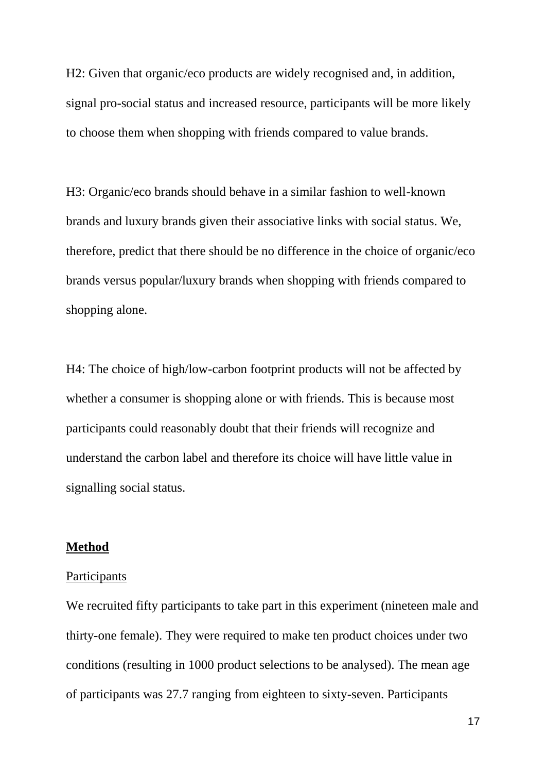H2: Given that organic/eco products are widely recognised and, in addition, signal pro-social status and increased resource, participants will be more likely to choose them when shopping with friends compared to value brands.

H3: Organic/eco brands should behave in a similar fashion to well-known brands and luxury brands given their associative links with social status. We, therefore, predict that there should be no difference in the choice of organic/eco brands versus popular/luxury brands when shopping with friends compared to shopping alone.

H4: The choice of high/low-carbon footprint products will not be affected by whether a consumer is shopping alone or with friends. This is because most participants could reasonably doubt that their friends will recognize and understand the carbon label and therefore its choice will have little value in signalling social status.

## **Method**

#### **Participants**

We recruited fifty participants to take part in this experiment (nineteen male and thirty-one female). They were required to make ten product choices under two conditions (resulting in 1000 product selections to be analysed). The mean age of participants was 27.7 ranging from eighteen to sixty-seven. Participants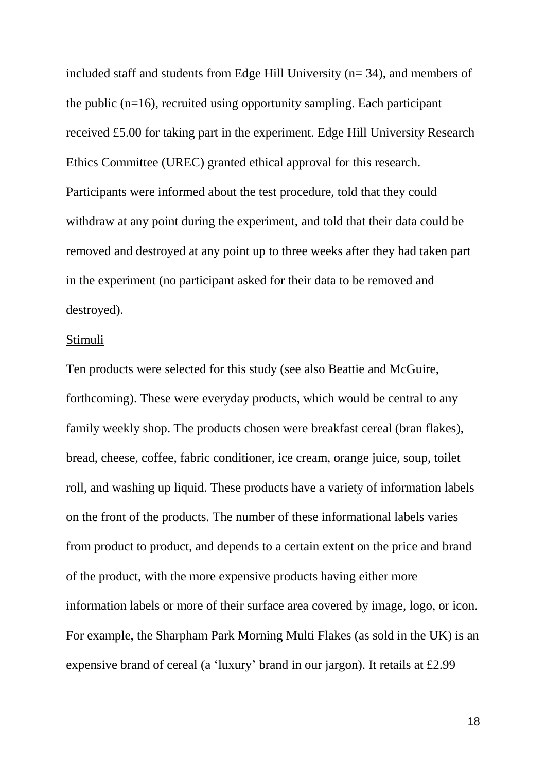included staff and students from Edge Hill University (n= 34), and members of the public (n=16), recruited using opportunity sampling. Each participant received £5.00 for taking part in the experiment. Edge Hill University Research Ethics Committee (UREC) granted ethical approval for this research. Participants were informed about the test procedure, told that they could withdraw at any point during the experiment, and told that their data could be removed and destroyed at any point up to three weeks after they had taken part in the experiment (no participant asked for their data to be removed and destroyed).

#### Stimuli

Ten products were selected for this study (see also Beattie and McGuire, forthcoming). These were everyday products, which would be central to any family weekly shop. The products chosen were breakfast cereal (bran flakes), bread, cheese, coffee, fabric conditioner, ice cream, orange juice, soup, toilet roll, and washing up liquid. These products have a variety of information labels on the front of the products. The number of these informational labels varies from product to product, and depends to a certain extent on the price and brand of the product, with the more expensive products having either more information labels or more of their surface area covered by image, logo, or icon. For example, the Sharpham Park Morning Multi Flakes (as sold in the UK) is an expensive brand of cereal (a 'luxury' brand in our jargon). It retails at £2.99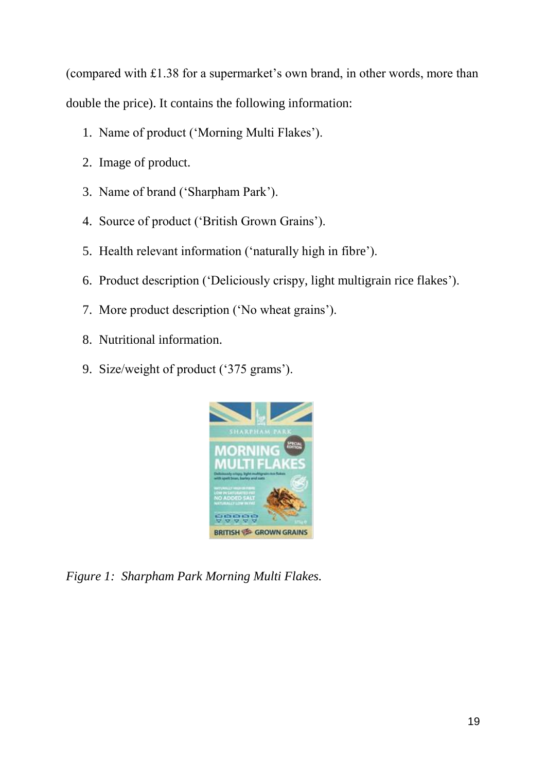(compared with £1.38 for a supermarket's own brand, in other words, more than double the price). It contains the following information:

- 1. Name of product ('Morning Multi Flakes').
- 2. Image of product.
- 3. Name of brand ('Sharpham Park').
- 4. Source of product ('British Grown Grains').
- 5. Health relevant information ('naturally high in fibre').
- 6. Product description ('Deliciously crispy, light multigrain rice flakes').
- 7. More product description ('No wheat grains').
- 8. Nutritional information.
- 9. Size/weight of product ('375 grams').



*Figure 1: Sharpham Park Morning Multi Flakes.*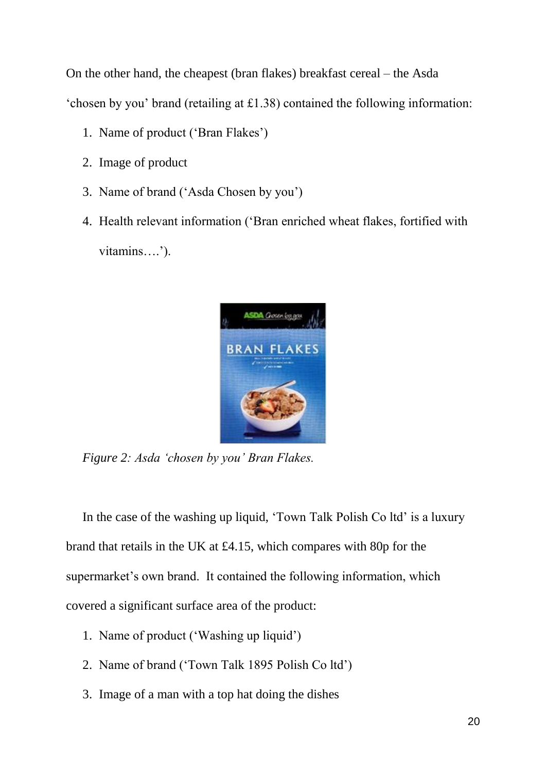On the other hand, the cheapest (bran flakes) breakfast cereal – the Asda 'chosen by you' brand (retailing at £1.38) contained the following information:

- 1. Name of product ('Bran Flakes')
- 2. Image of product
- 3. Name of brand ('Asda Chosen by you')
- 4. Health relevant information ('Bran enriched wheat flakes, fortified with vitamins….').



*Figure 2: Asda 'chosen by you' Bran Flakes.*

In the case of the washing up liquid, 'Town Talk Polish Co ltd' is a luxury brand that retails in the UK at £4.15, which compares with 80p for the supermarket's own brand. It contained the following information, which covered a significant surface area of the product:

- 1. Name of product ('Washing up liquid')
- 2. Name of brand ('Town Talk 1895 Polish Co ltd')
- 3. Image of a man with a top hat doing the dishes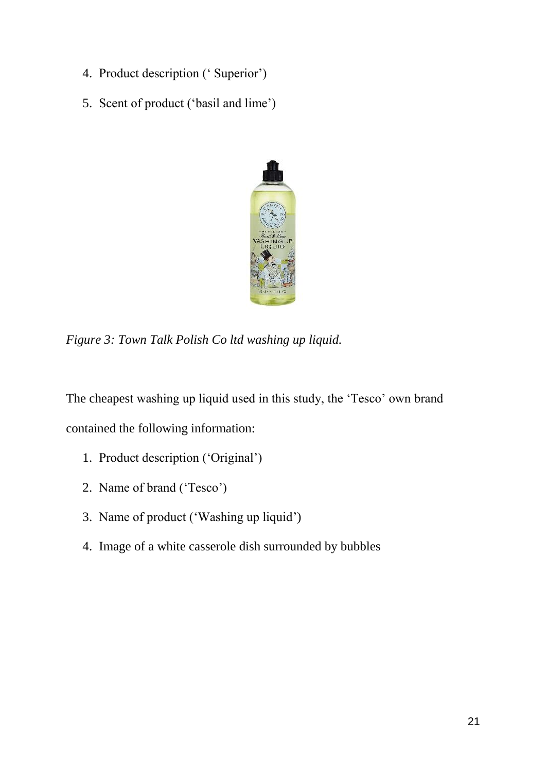- 4. Product description (' Superior')
- 5. Scent of product ('basil and lime')



*Figure 3: Town Talk Polish Co ltd washing up liquid.*

The cheapest washing up liquid used in this study, the 'Tesco' own brand contained the following information:

- 1. Product description ('Original')
- 2. Name of brand ('Tesco')
- 3. Name of product ('Washing up liquid')
- 4. Image of a white casserole dish surrounded by bubbles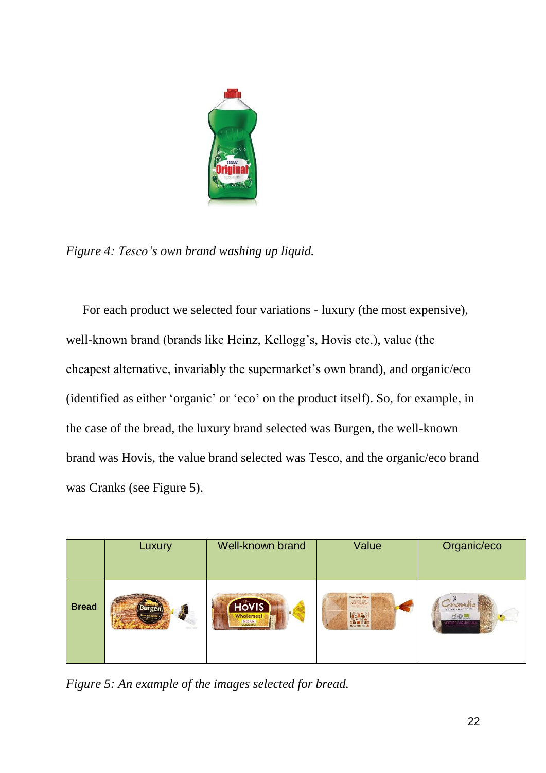

*Figure 4: Tesco's own brand washing up liquid.*

For each product we selected four variations - luxury (the most expensive), well-known brand (brands like Heinz, Kellogg's, Hovis etc.), value (the cheapest alternative, invariably the supermarket's own brand), and organic/eco (identified as either 'organic' or 'eco' on the product itself). So, for example, in the case of the bread, the luxury brand selected was Burgen, the well-known brand was Hovis, the value brand selected was Tesco, and the organic/eco brand was Cranks (see Figure 5).

|              | Luxury          | Well-known brand | Value                          | Organic/eco         |
|--------------|-----------------|------------------|--------------------------------|---------------------|
| <b>Bread</b> | $\frac{1}{2}$   | HOVIS            | Everyday Value                 | maber organiz preso |
|              | SOYA & LINSEED  | Wholemeal        | wholesal hast<br>modium sliced | 200                 |
|              | <b>MPROFILM</b> | MEDIUM           | <b>BASI</b>                    | <b>DED FARM</b>     |

*Figure 5: An example of the images selected for bread.*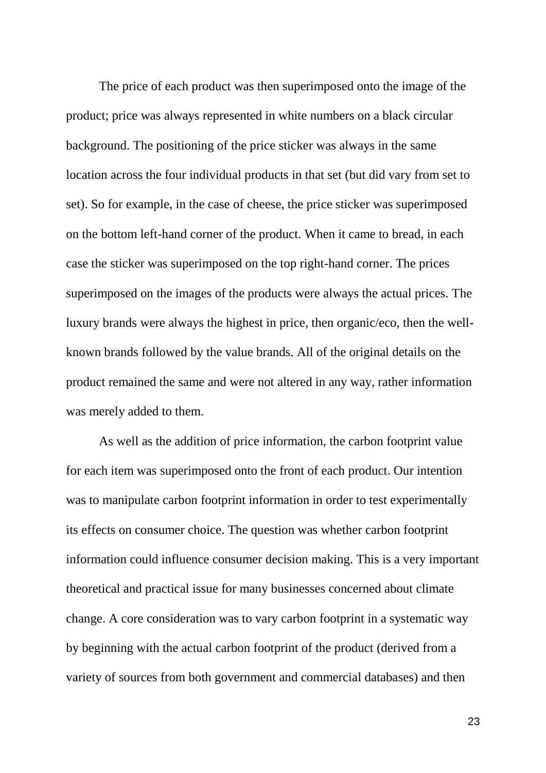The price of each product was then superimposed onto the image of the product; price was always represented in white numbers on a black circular background. The positioning of the price sticker was always in the same location across the four individual products in that set (but did vary from set to set). So for example, in the case of cheese, the price sticker was superimposed on the bottom left-hand corner of the product. When it came to bread, in each case the sticker was superimposed on the top right-hand corner. The prices superimposed on the images of the products were always the actual prices. The luxury brands were always the highest in price, then organic/eco, then the wellknown brands followed by the value brands. All of the original details on the product remained the same and were not altered in any way, rather information was merely added to them.

As well as the addition of price information, the carbon footprint value for each item was superimposed onto the front of each product. Our intention was to manipulate carbon footprint information in order to test experimentally its effects on consumer choice. The question was whether carbon footprint information could influence consumer decision making. This is a very important theoretical and practical issue for many businesses concerned about climate change. A core consideration was to vary carbon footprint in a systematic way by beginning with the actual carbon footprint of the product (derived from a variety of sources from both government and commercial databases) and then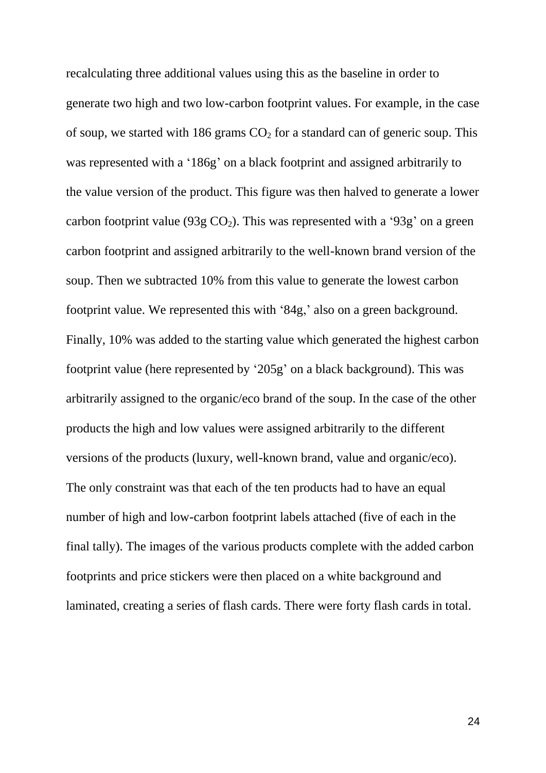recalculating three additional values using this as the baseline in order to generate two high and two low-carbon footprint values. For example, in the case of soup, we started with 186 grams  $CO<sub>2</sub>$  for a standard can of generic soup. This was represented with a '186g' on a black footprint and assigned arbitrarily to the value version of the product. This figure was then halved to generate a lower carbon footprint value (93g  $CO<sub>2</sub>$ ). This was represented with a '93g' on a green carbon footprint and assigned arbitrarily to the well-known brand version of the soup. Then we subtracted 10% from this value to generate the lowest carbon footprint value. We represented this with '84g,' also on a green background. Finally, 10% was added to the starting value which generated the highest carbon footprint value (here represented by '205g' on a black background). This was arbitrarily assigned to the organic/eco brand of the soup. In the case of the other products the high and low values were assigned arbitrarily to the different versions of the products (luxury, well-known brand, value and organic/eco). The only constraint was that each of the ten products had to have an equal number of high and low-carbon footprint labels attached (five of each in the final tally). The images of the various products complete with the added carbon footprints and price stickers were then placed on a white background and laminated, creating a series of flash cards. There were forty flash cards in total.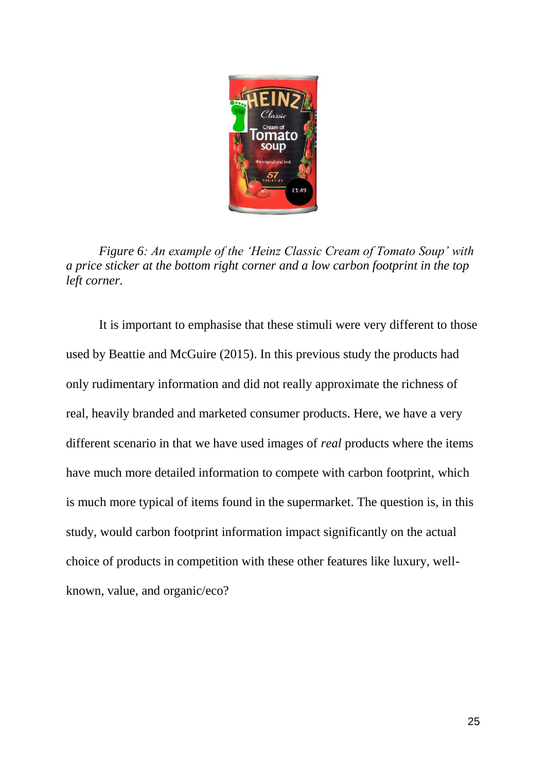

*Figure 6: An example of the 'Heinz Classic Cream of Tomato Soup' with a price sticker at the bottom right corner and a low carbon footprint in the top left corner.*

It is important to emphasise that these stimuli were very different to those used by Beattie and McGuire (2015). In this previous study the products had only rudimentary information and did not really approximate the richness of real, heavily branded and marketed consumer products. Here, we have a very different scenario in that we have used images of *real* products where the items have much more detailed information to compete with carbon footprint, which is much more typical of items found in the supermarket. The question is, in this study, would carbon footprint information impact significantly on the actual choice of products in competition with these other features like luxury, wellknown, value, and organic/eco?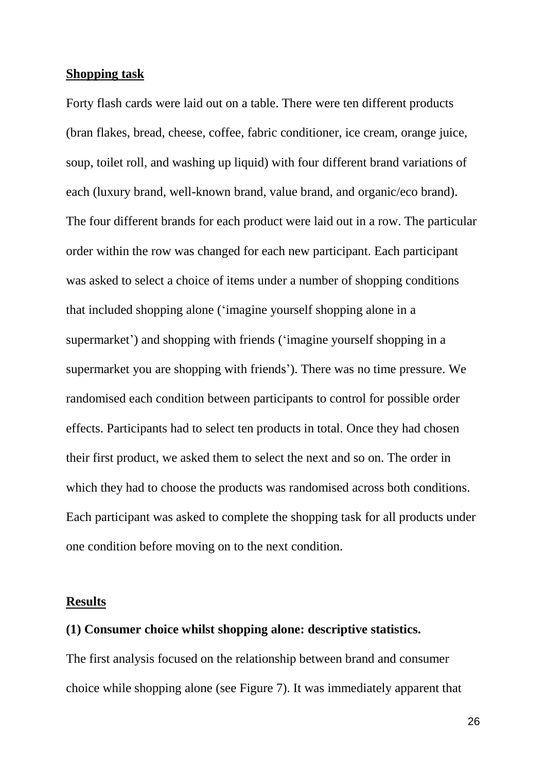#### **Shopping task**

Forty flash cards were laid out on a table. There were ten different products (bran flakes, bread, cheese, coffee, fabric conditioner, ice cream, orange juice, soup, toilet roll, and washing up liquid) with four different brand variations of each (luxury brand, well-known brand, value brand, and organic/eco brand). The four different brands for each product were laid out in a row. The particular order within the row was changed for each new participant. Each participant was asked to select a choice of items under a number of shopping conditions that included shopping alone ('imagine yourself shopping alone in a supermarket') and shopping with friends ('imagine yourself shopping in a supermarket you are shopping with friends'). There was no time pressure. We randomised each condition between participants to control for possible order effects. Participants had to select ten products in total. Once they had chosen their first product, we asked them to select the next and so on. The order in which they had to choose the products was randomised across both conditions. Each participant was asked to complete the shopping task for all products under one condition before moving on to the next condition.

#### **Results**

#### **(1) Consumer choice whilst shopping alone: descriptive statistics.**

The first analysis focused on the relationship between brand and consumer choice while shopping alone (see Figure 7). It was immediately apparent that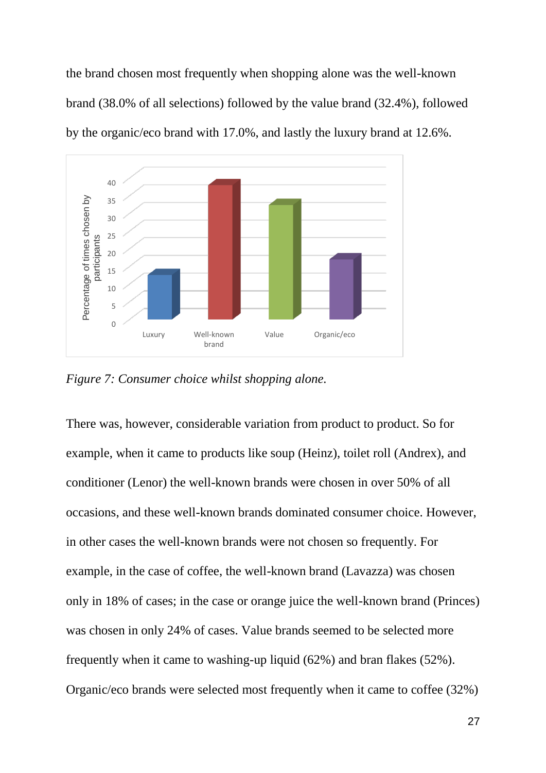the brand chosen most frequently when shopping alone was the well-known brand (38.0% of all selections) followed by the value brand (32.4%), followed by the organic/eco brand with 17.0%, and lastly the luxury brand at 12.6%.



*Figure 7: Consumer choice whilst shopping alone.*

There was, however, considerable variation from product to product. So for example, when it came to products like soup (Heinz), toilet roll (Andrex), and conditioner (Lenor) the well-known brands were chosen in over 50% of all occasions, and these well-known brands dominated consumer choice. However, in other cases the well-known brands were not chosen so frequently. For example, in the case of coffee, the well-known brand (Lavazza) was chosen only in 18% of cases; in the case or orange juice the well-known brand (Princes) was chosen in only 24% of cases. Value brands seemed to be selected more frequently when it came to washing-up liquid (62%) and bran flakes (52%). Organic/eco brands were selected most frequently when it came to coffee (32%)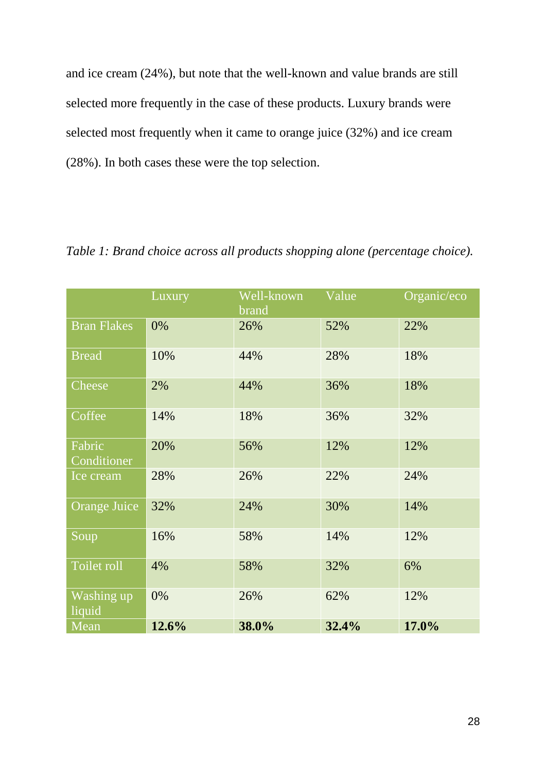and ice cream (24%), but note that the well-known and value brands are still selected more frequently in the case of these products. Luxury brands were selected most frequently when it came to orange juice (32%) and ice cream (28%). In both cases these were the top selection.

|                       | Luxury | Well-known<br>brand | Value | Organic/eco |  |
|-----------------------|--------|---------------------|-------|-------------|--|
| <b>Bran Flakes</b>    | 0%     | 26%                 | 52%   | 22%         |  |
| <b>Bread</b>          | 10%    | 44%<br>28%          |       | 18%         |  |
| Cheese                | 2%     | 44%                 | 36%   | 18%         |  |
| Coffee                | 14%    | 18%                 | 36%   | 32%         |  |
| Fabric<br>Conditioner | 20%    | 56%                 | 12%   | 12%         |  |
| Ice cream             | 28%    | 26%                 | 22%   | 24%         |  |
| <b>Orange Juice</b>   | 32%    | 24%                 | 30%   | 14%         |  |
| Soup                  | 16%    | 58%                 | 14%   | 12%         |  |
| Toilet roll           | 4%     | 58%                 | 32%   | 6%          |  |
| Washing up<br>liquid  | 0%     | 26%                 | 62%   | 12%         |  |
| Mean                  | 12.6%  | 38.0%               | 32.4% | 17.0%       |  |

*Table 1: Brand choice across all products shopping alone (percentage choice).*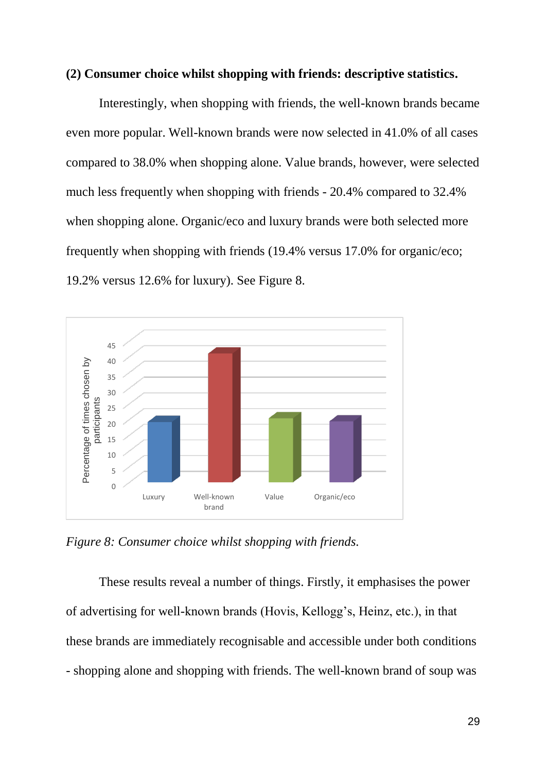#### **(2) Consumer choice whilst shopping with friends: descriptive statistics.**

Interestingly, when shopping with friends, the well-known brands became even more popular. Well-known brands were now selected in 41.0% of all cases compared to 38.0% when shopping alone. Value brands, however, were selected much less frequently when shopping with friends - 20.4% compared to 32.4% when shopping alone. Organic/eco and luxury brands were both selected more frequently when shopping with friends (19.4% versus 17.0% for organic/eco; 19.2% versus 12.6% for luxury). See Figure 8.



*Figure 8: Consumer choice whilst shopping with friends.*

These results reveal a number of things. Firstly, it emphasises the power of advertising for well-known brands (Hovis, Kellogg's, Heinz, etc.), in that these brands are immediately recognisable and accessible under both conditions - shopping alone and shopping with friends. The well-known brand of soup was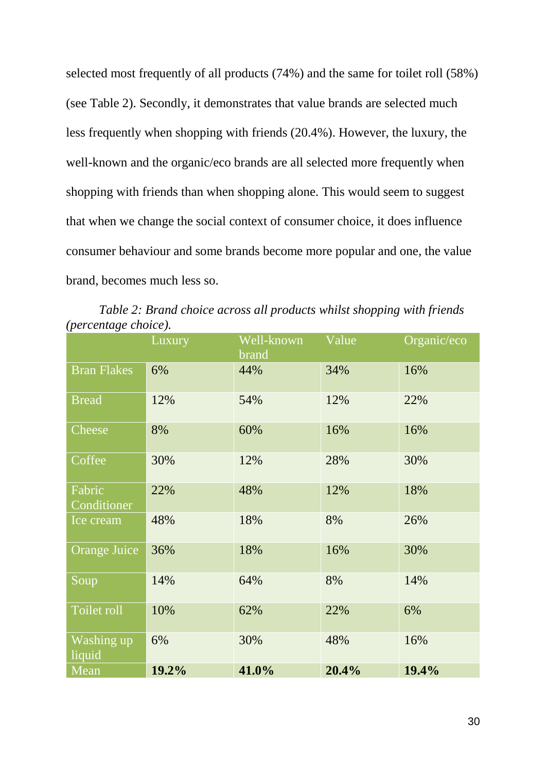selected most frequently of all products (74%) and the same for toilet roll (58%) (see Table 2). Secondly, it demonstrates that value brands are selected much less frequently when shopping with friends (20.4%). However, the luxury, the well-known and the organic/eco brands are all selected more frequently when shopping with friends than when shopping alone. This would seem to suggest that when we change the social context of consumer choice, it does influence consumer behaviour and some brands become more popular and one, the value brand, becomes much less so.

*Table 2: Brand choice across all products whilst shopping with friends (percentage choice).*

|                       | Luxury | Well-known<br>brand | Value | Organic/eco |
|-----------------------|--------|---------------------|-------|-------------|
| <b>Bran Flakes</b>    | 6%     | 44%                 | 34%   | 16%         |
| <b>Bread</b>          | 12%    | 54%                 | 12%   | 22%         |
| Cheese                | 8%     | 60%                 | 16%   | 16%         |
| Coffee                | 30%    | 12%                 | 28%   | 30%         |
| Fabric<br>Conditioner | 22%    | 48%                 | 12%   | 18%         |
| Ice cream             | 48%    | 18%                 | 8%    | 26%         |
| <b>Orange Juice</b>   | 36%    | 18%                 | 16%   | 30%         |
| Soup                  | 14%    | 64%                 | 8%    | 14%         |
| Toilet roll           | 10%    | 62%                 | 22%   | 6%          |
| Washing up<br>liquid  | 6%     | 30%                 | 48%   | 16%         |
| Mean                  | 19.2%  | 41.0%               | 20.4% | 19.4%       |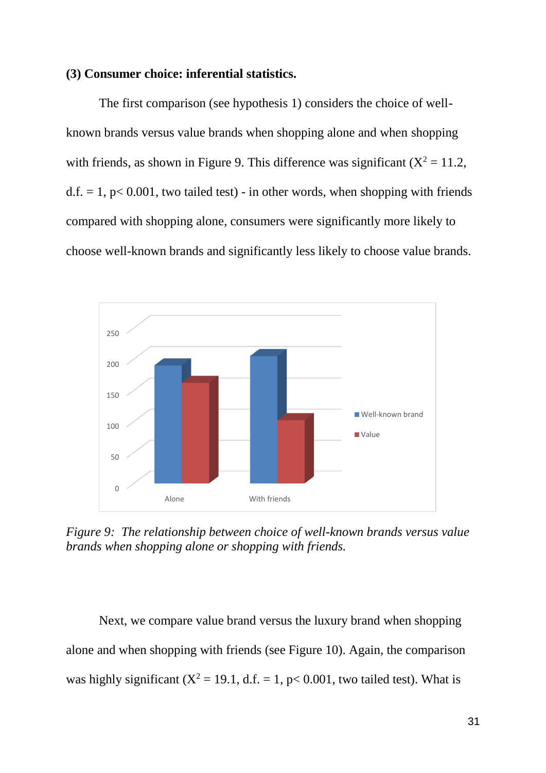#### **(3) Consumer choice: inferential statistics.**

The first comparison (see hypothesis 1) considers the choice of wellknown brands versus value brands when shopping alone and when shopping with friends, as shown in Figure 9. This difference was significant  $(X^2 = 11.2$ ,  $d.f. = 1$ ,  $p < 0.001$ , two tailed test) - in other words, when shopping with friends compared with shopping alone, consumers were significantly more likely to choose well-known brands and significantly less likely to choose value brands.



*Figure 9: The relationship between choice of well-known brands versus value brands when shopping alone or shopping with friends.*

Next, we compare value brand versus the luxury brand when shopping alone and when shopping with friends (see Figure 10). Again, the comparison was highly significant  $(X^2 = 19.1, d.f. = 1, p < 0.001$ , two tailed test). What is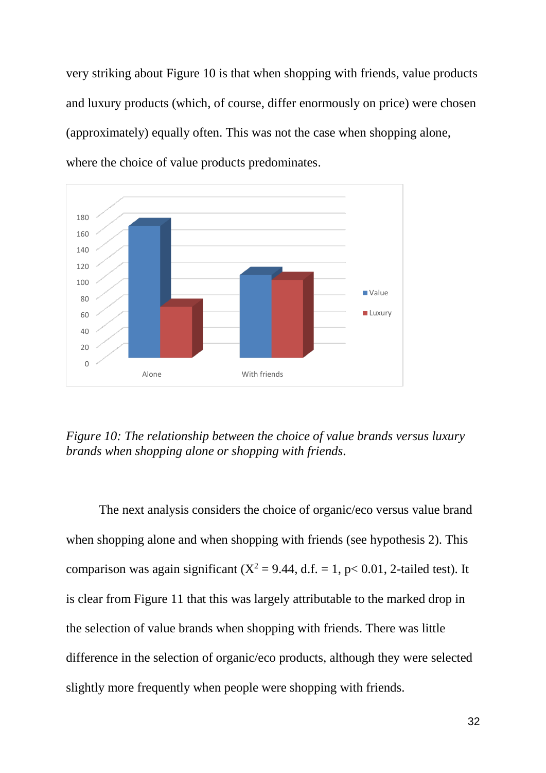very striking about Figure 10 is that when shopping with friends, value products and luxury products (which, of course, differ enormously on price) were chosen (approximately) equally often. This was not the case when shopping alone, where the choice of value products predominates.



*Figure 10: The relationship between the choice of value brands versus luxury brands when shopping alone or shopping with friends.*

The next analysis considers the choice of organic/eco versus value brand when shopping alone and when shopping with friends (see hypothesis 2). This comparison was again significant ( $X^2 = 9.44$ , d.f. = 1, p< 0.01, 2-tailed test). It is clear from Figure 11 that this was largely attributable to the marked drop in the selection of value brands when shopping with friends. There was little difference in the selection of organic/eco products, although they were selected slightly more frequently when people were shopping with friends.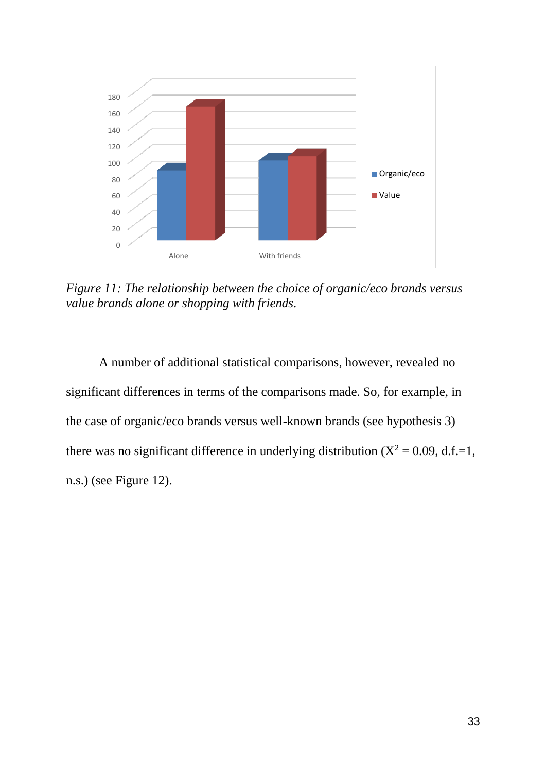

*Figure 11: The relationship between the choice of organic/eco brands versus value brands alone or shopping with friends.*

A number of additional statistical comparisons, however, revealed no significant differences in terms of the comparisons made. So, for example, in the case of organic/eco brands versus well-known brands (see hypothesis 3) there was no significant difference in underlying distribution  $(X^2 = 0.09, d.f.=1,$ n.s.) (see Figure 12).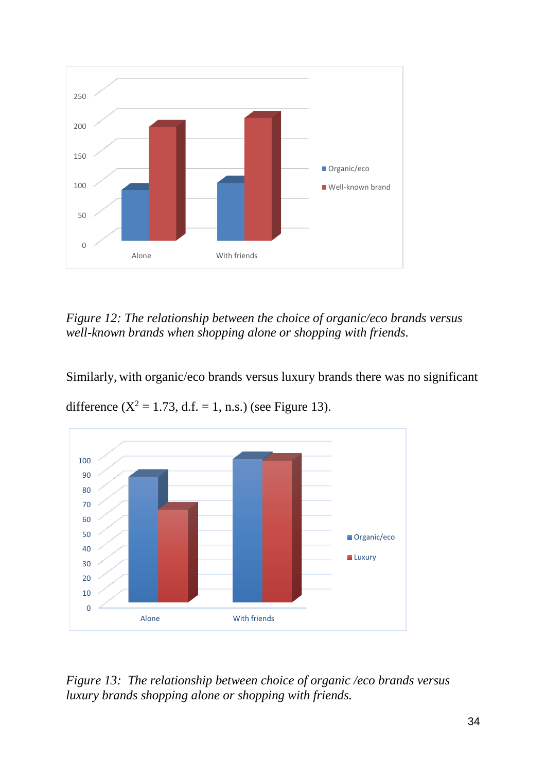

*Figure 12: The relationship between the choice of organic/eco brands versus well-known brands when shopping alone or shopping with friends.*

Similarly, with organic/eco brands versus luxury brands there was no significant



difference  $(X^2 = 1.73, d.f. = 1, n.s.)$  (see Figure 13).

*Figure 13: The relationship between choice of organic /eco brands versus luxury brands shopping alone or shopping with friends.*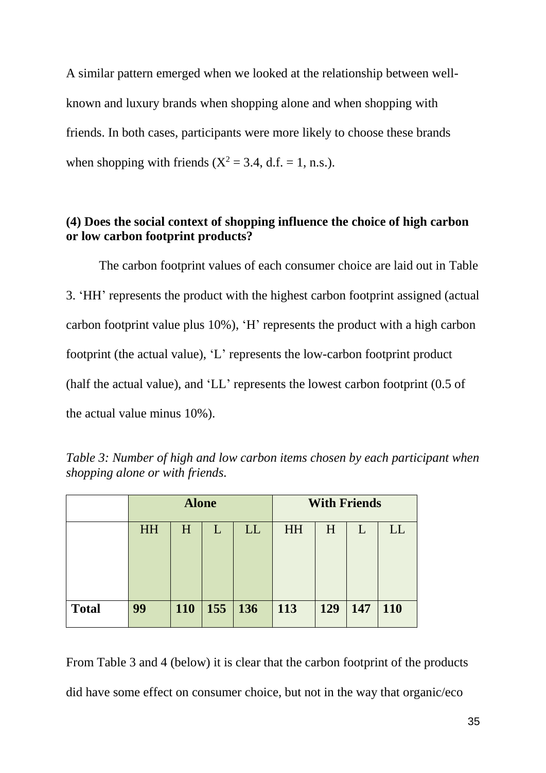A similar pattern emerged when we looked at the relationship between wellknown and luxury brands when shopping alone and when shopping with friends. In both cases, participants were more likely to choose these brands when shopping with friends  $(X^2 = 3.4, d.f. = 1, n.s.).$ 

## **(4) Does the social context of shopping influence the choice of high carbon or low carbon footprint products?**

The carbon footprint values of each consumer choice are laid out in Table 3. 'HH' represents the product with the highest carbon footprint assigned (actual carbon footprint value plus 10%), 'H' represents the product with a high carbon footprint (the actual value), 'L' represents the low-carbon footprint product (half the actual value), and 'LL' represents the lowest carbon footprint (0.5 of the actual value minus 10%).

|              | <b>Alone</b> |     |     |            |           | <b>With Friends</b> |     |     |
|--------------|--------------|-----|-----|------------|-----------|---------------------|-----|-----|
|              | <b>HH</b>    | H   |     | LL         | <b>HH</b> | H                   | L   | LL  |
|              |              |     |     |            |           |                     |     |     |
|              |              |     |     |            |           |                     |     |     |
| <b>Total</b> | 99           | 110 | 155 | <b>136</b> | 113       | 129                 | 147 | 110 |

*Table 3: Number of high and low carbon items chosen by each participant when shopping alone or with friends.*

From Table 3 and 4 (below) it is clear that the carbon footprint of the products did have some effect on consumer choice, but not in the way that organic/eco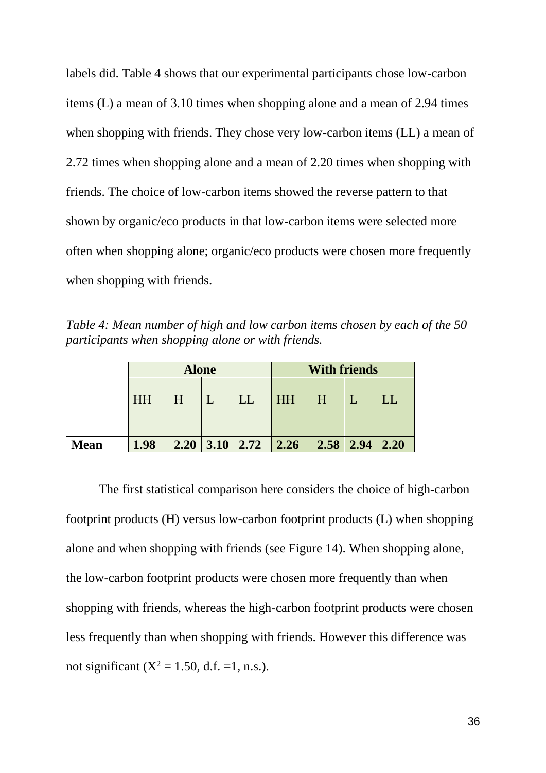labels did. Table 4 shows that our experimental participants chose low-carbon items (L) a mean of 3.10 times when shopping alone and a mean of 2.94 times when shopping with friends. They chose very low-carbon items (LL) a mean of 2.72 times when shopping alone and a mean of 2.20 times when shopping with friends. The choice of low-carbon items showed the reverse pattern to that shown by organic/eco products in that low-carbon items were selected more often when shopping alone; organic/eco products were chosen more frequently when shopping with friends.

*Table 4: Mean number of high and low carbon items chosen by each of the 50 participants when shopping alone or with friends.*

|             | <b>Alone</b> |   |  |                            | <b>With friends</b> |      |      |      |
|-------------|--------------|---|--|----------------------------|---------------------|------|------|------|
|             | HH           | H |  | LL                         | <b>HH</b>           | H    |      |      |
| <b>Mean</b> | 1.98         |   |  | $2.20 \mid 3.10 \mid 2.72$ | 2.26                | 2.58 | 2.94 | 2.20 |

The first statistical comparison here considers the choice of high-carbon footprint products (H) versus low-carbon footprint products (L) when shopping alone and when shopping with friends (see Figure 14). When shopping alone, the low-carbon footprint products were chosen more frequently than when shopping with friends, whereas the high-carbon footprint products were chosen less frequently than when shopping with friends. However this difference was not significant ( $X^2 = 1.50$ , d.f. =1, n.s.).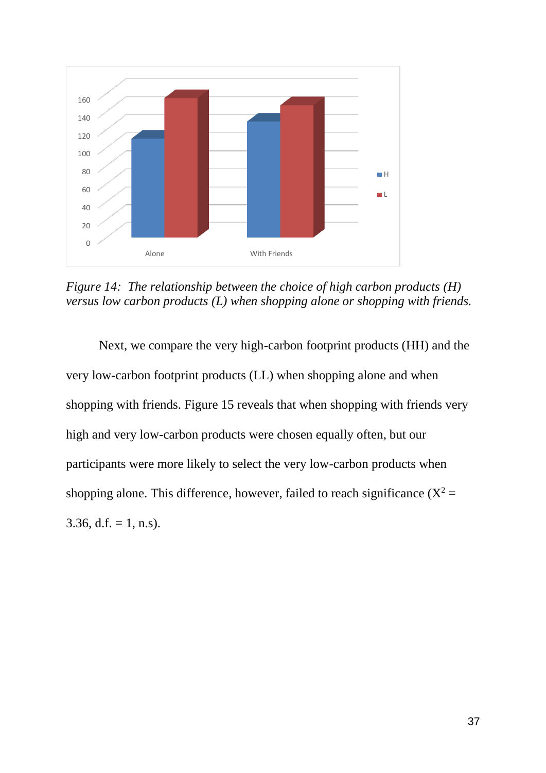

*Figure 14: The relationship between the choice of high carbon products (H) versus low carbon products (L) when shopping alone or shopping with friends.*

Next, we compare the very high-carbon footprint products (HH) and the very low-carbon footprint products (LL) when shopping alone and when shopping with friends. Figure 15 reveals that when shopping with friends very high and very low-carbon products were chosen equally often, but our participants were more likely to select the very low-carbon products when shopping alone. This difference, however, failed to reach significance  $(X^2 =$ 3.36, d.f. = 1, n.s).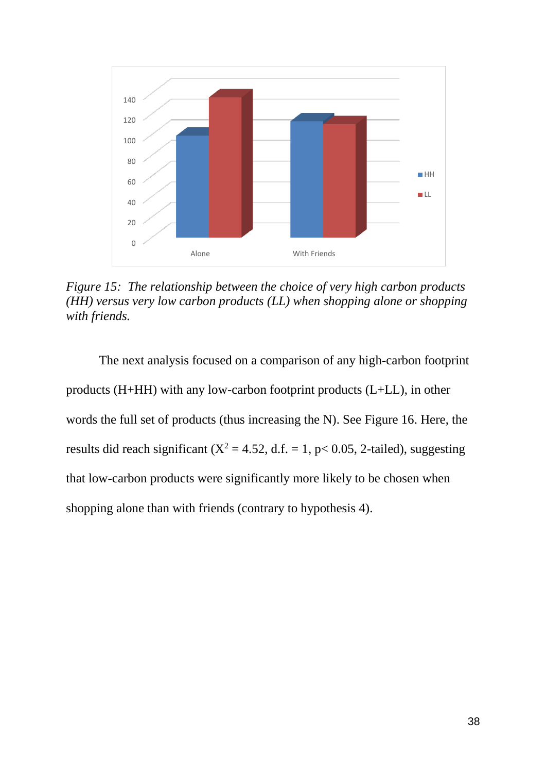

*Figure 15: The relationship between the choice of very high carbon products (HH) versus very low carbon products (LL) when shopping alone or shopping with friends.*

The next analysis focused on a comparison of any high-carbon footprint products (H+HH) with any low-carbon footprint products (L+LL), in other words the full set of products (thus increasing the N). See Figure 16. Here, the results did reach significant ( $X^2 = 4.52$ , d.f. = 1, p< 0.05, 2-tailed), suggesting that low-carbon products were significantly more likely to be chosen when shopping alone than with friends (contrary to hypothesis 4).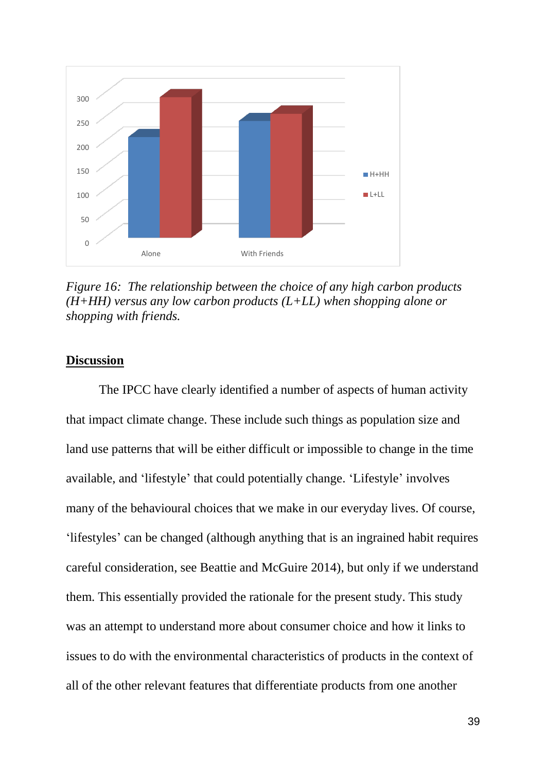

*Figure 16: The relationship between the choice of any high carbon products (H+HH) versus any low carbon products (L+LL) when shopping alone or shopping with friends.*

## **Discussion**

The IPCC have clearly identified a number of aspects of human activity that impact climate change. These include such things as population size and land use patterns that will be either difficult or impossible to change in the time available, and 'lifestyle' that could potentially change. 'Lifestyle' involves many of the behavioural choices that we make in our everyday lives. Of course, 'lifestyles' can be changed (although anything that is an ingrained habit requires careful consideration, see Beattie and McGuire 2014), but only if we understand them. This essentially provided the rationale for the present study. This study was an attempt to understand more about consumer choice and how it links to issues to do with the environmental characteristics of products in the context of all of the other relevant features that differentiate products from one another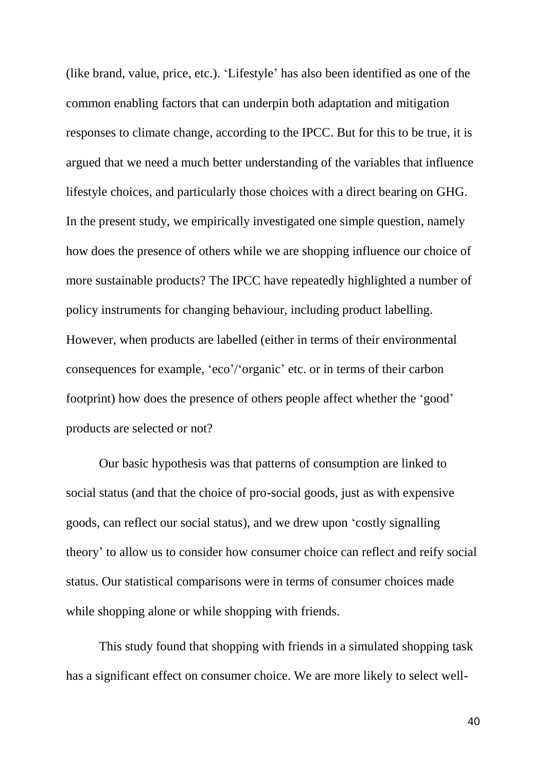(like brand, value, price, etc.). 'Lifestyle' has also been identified as one of the common enabling factors that can underpin both adaptation and mitigation responses to climate change, according to the IPCC. But for this to be true, it is argued that we need a much better understanding of the variables that influence lifestyle choices, and particularly those choices with a direct bearing on GHG. In the present study, we empirically investigated one simple question, namely how does the presence of others while we are shopping influence our choice of more sustainable products? The IPCC have repeatedly highlighted a number of policy instruments for changing behaviour, including product labelling. However, when products are labelled (either in terms of their environmental consequences for example, 'eco'/'organic' etc. or in terms of their carbon footprint) how does the presence of others people affect whether the 'good' products are selected or not?

Our basic hypothesis was that patterns of consumption are linked to social status (and that the choice of pro-social goods, just as with expensive goods, can reflect our social status), and we drew upon 'costly signalling theory' to allow us to consider how consumer choice can reflect and reify social status. Our statistical comparisons were in terms of consumer choices made while shopping alone or while shopping with friends.

This study found that shopping with friends in a simulated shopping task has a significant effect on consumer choice. We are more likely to select well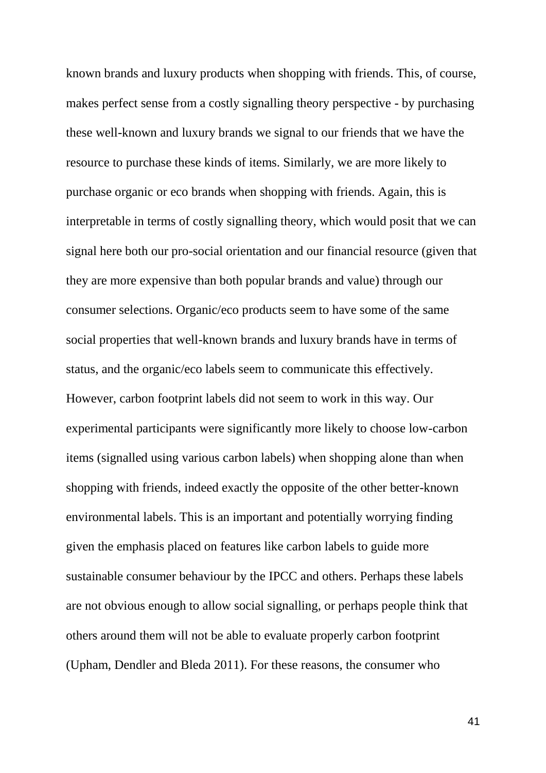known brands and luxury products when shopping with friends. This, of course, makes perfect sense from a costly signalling theory perspective - by purchasing these well-known and luxury brands we signal to our friends that we have the resource to purchase these kinds of items. Similarly, we are more likely to purchase organic or eco brands when shopping with friends. Again, this is interpretable in terms of costly signalling theory, which would posit that we can signal here both our pro-social orientation and our financial resource (given that they are more expensive than both popular brands and value) through our consumer selections. Organic/eco products seem to have some of the same social properties that well-known brands and luxury brands have in terms of status, and the organic/eco labels seem to communicate this effectively. However, carbon footprint labels did not seem to work in this way. Our experimental participants were significantly more likely to choose low-carbon items (signalled using various carbon labels) when shopping alone than when shopping with friends, indeed exactly the opposite of the other better-known environmental labels. This is an important and potentially worrying finding given the emphasis placed on features like carbon labels to guide more sustainable consumer behaviour by the IPCC and others. Perhaps these labels are not obvious enough to allow social signalling, or perhaps people think that others around them will not be able to evaluate properly carbon footprint (Upham, Dendler and Bleda 2011). For these reasons, the consumer who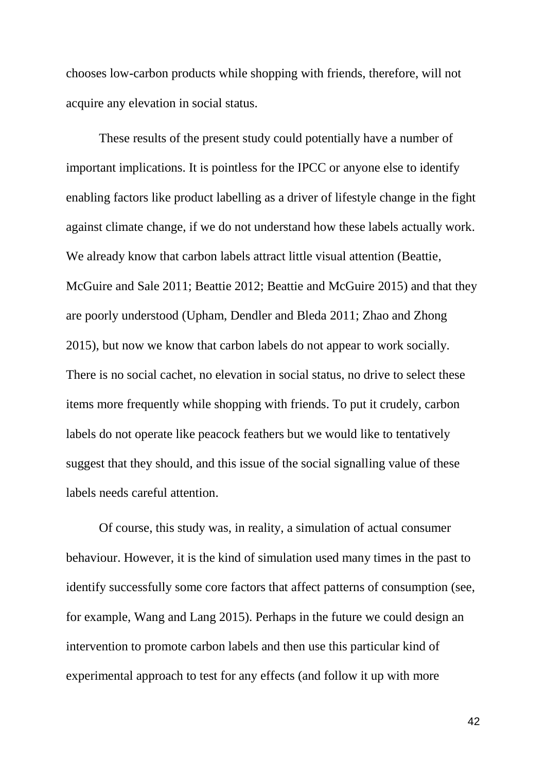chooses low-carbon products while shopping with friends, therefore, will not acquire any elevation in social status.

These results of the present study could potentially have a number of important implications. It is pointless for the IPCC or anyone else to identify enabling factors like product labelling as a driver of lifestyle change in the fight against climate change, if we do not understand how these labels actually work. We already know that carbon labels attract little visual attention (Beattie, McGuire and Sale 2011; Beattie 2012; Beattie and McGuire 2015) and that they are poorly understood (Upham, Dendler and Bleda 2011; Zhao and Zhong 2015), but now we know that carbon labels do not appear to work socially. There is no social cachet, no elevation in social status, no drive to select these items more frequently while shopping with friends. To put it crudely, carbon labels do not operate like peacock feathers but we would like to tentatively suggest that they should, and this issue of the social signalling value of these labels needs careful attention.

Of course, this study was, in reality, a simulation of actual consumer behaviour. However, it is the kind of simulation used many times in the past to identify successfully some core factors that affect patterns of consumption (see, for example, Wang and Lang 2015). Perhaps in the future we could design an intervention to promote carbon labels and then use this particular kind of experimental approach to test for any effects (and follow it up with more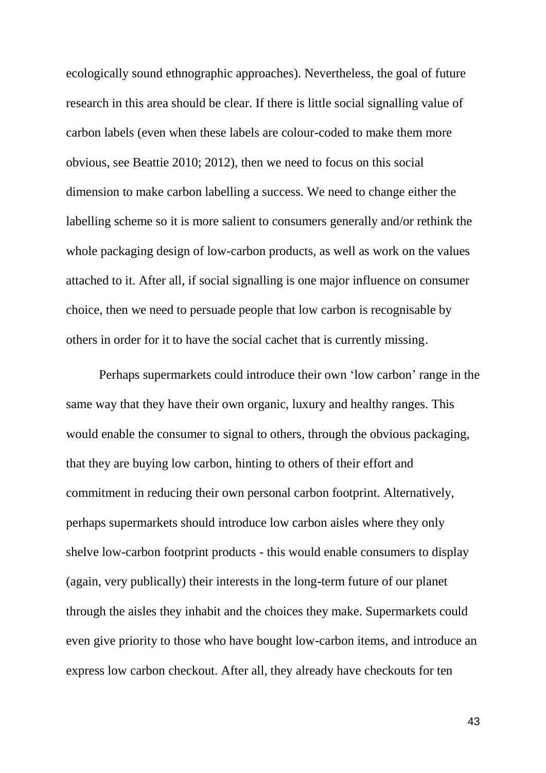ecologically sound ethnographic approaches). Nevertheless, the goal of future research in this area should be clear. If there is little social signalling value of carbon labels (even when these labels are colour-coded to make them more obvious, see Beattie 2010; 2012), then we need to focus on this social dimension to make carbon labelling a success. We need to change either the labelling scheme so it is more salient to consumers generally and/or rethink the whole packaging design of low-carbon products, as well as work on the values attached to it. After all, if social signalling is one major influence on consumer choice, then we need to persuade people that low carbon is recognisable by others in order for it to have the social cachet that is currently missing.

Perhaps supermarkets could introduce their own 'low carbon' range in the same way that they have their own organic, luxury and healthy ranges. This would enable the consumer to signal to others, through the obvious packaging, that they are buying low carbon, hinting to others of their effort and commitment in reducing their own personal carbon footprint. Alternatively, perhaps supermarkets should introduce low carbon aisles where they only shelve low-carbon footprint products - this would enable consumers to display (again, very publically) their interests in the long-term future of our planet through the aisles they inhabit and the choices they make. Supermarkets could even give priority to those who have bought low-carbon items, and introduce an express low carbon checkout. After all, they already have checkouts for ten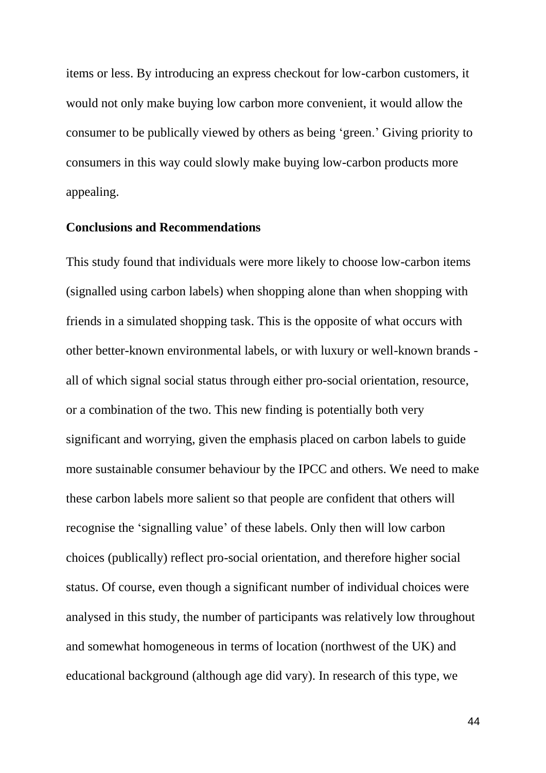items or less. By introducing an express checkout for low-carbon customers, it would not only make buying low carbon more convenient, it would allow the consumer to be publically viewed by others as being 'green.' Giving priority to consumers in this way could slowly make buying low-carbon products more appealing.

## **Conclusions and Recommendations**

This study found that individuals were more likely to choose low-carbon items (signalled using carbon labels) when shopping alone than when shopping with friends in a simulated shopping task. This is the opposite of what occurs with other better-known environmental labels, or with luxury or well-known brands all of which signal social status through either pro-social orientation, resource, or a combination of the two. This new finding is potentially both very significant and worrying, given the emphasis placed on carbon labels to guide more sustainable consumer behaviour by the IPCC and others. We need to make these carbon labels more salient so that people are confident that others will recognise the 'signalling value' of these labels. Only then will low carbon choices (publically) reflect pro-social orientation, and therefore higher social status. Of course, even though a significant number of individual choices were analysed in this study, the number of participants was relatively low throughout and somewhat homogeneous in terms of location (northwest of the UK) and educational background (although age did vary). In research of this type, we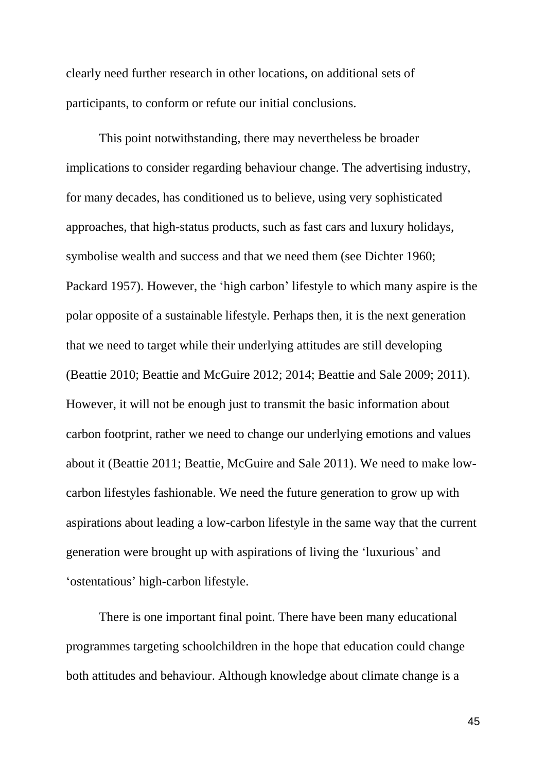clearly need further research in other locations, on additional sets of participants, to conform or refute our initial conclusions.

This point notwithstanding, there may nevertheless be broader implications to consider regarding behaviour change. The advertising industry, for many decades, has conditioned us to believe, using very sophisticated approaches, that high-status products, such as fast cars and luxury holidays, symbolise wealth and success and that we need them (see Dichter 1960; Packard 1957). However, the 'high carbon' lifestyle to which many aspire is the polar opposite of a sustainable lifestyle. Perhaps then, it is the next generation that we need to target while their underlying attitudes are still developing (Beattie 2010; Beattie and McGuire 2012; 2014; Beattie and Sale 2009; 2011). However, it will not be enough just to transmit the basic information about carbon footprint, rather we need to change our underlying emotions and values about it (Beattie 2011; Beattie, McGuire and Sale 2011). We need to make lowcarbon lifestyles fashionable. We need the future generation to grow up with aspirations about leading a low-carbon lifestyle in the same way that the current generation were brought up with aspirations of living the 'luxurious' and 'ostentatious' high-carbon lifestyle.

There is one important final point. There have been many educational programmes targeting schoolchildren in the hope that education could change both attitudes and behaviour. Although knowledge about climate change is a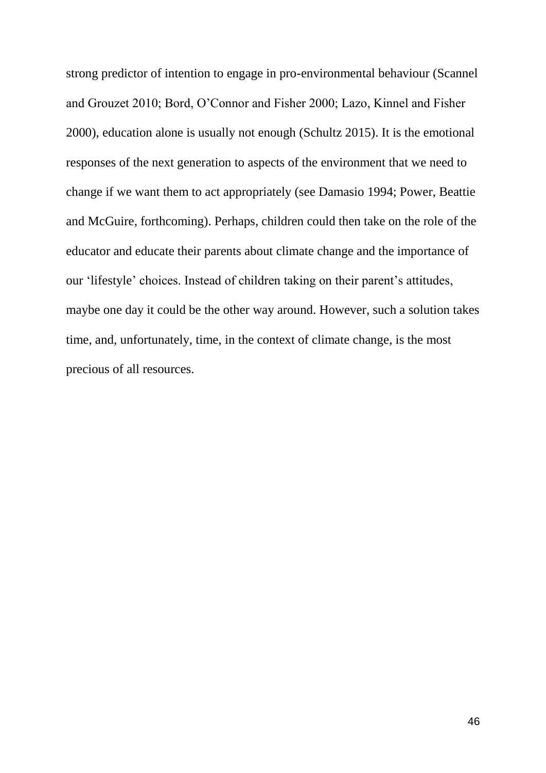strong predictor of intention to engage in pro-environmental behaviour (Scannel and Grouzet 2010; Bord, O'Connor and Fisher 2000; Lazo, Kinnel and Fisher 2000), education alone is usually not enough (Schultz 2015). It is the emotional responses of the next generation to aspects of the environment that we need to change if we want them to act appropriately (see Damasio 1994; Power, Beattie and McGuire, forthcoming). Perhaps, children could then take on the role of the educator and educate their parents about climate change and the importance of our 'lifestyle' choices. Instead of children taking on their parent's attitudes, maybe one day it could be the other way around. However, such a solution takes time, and, unfortunately, time, in the context of climate change, is the most precious of all resources.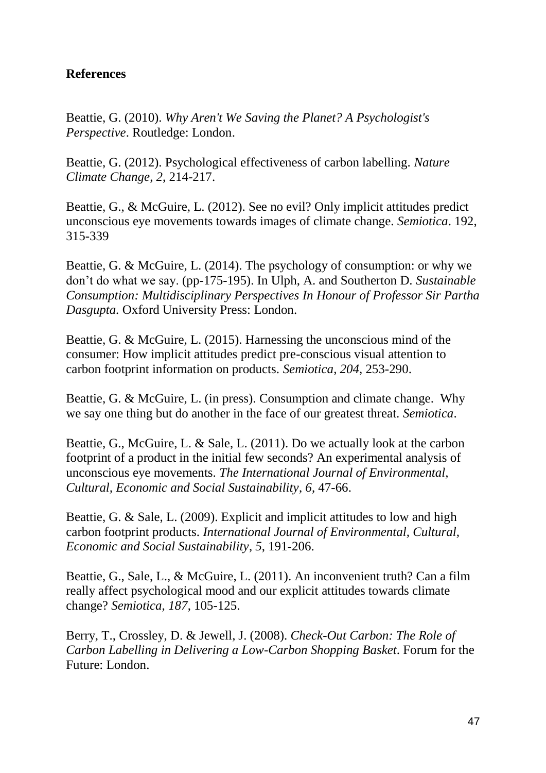# **References**

Beattie, G. (2010). *Why Aren't We Saving the Planet? A Psychologist's Perspective*. Routledge: London.

Beattie, G. (2012). Psychological effectiveness of carbon labelling. *Nature Climate Change*, *2*, 214-217.

Beattie, G., & McGuire, L. (2012). See no evil? Only implicit attitudes predict unconscious eye movements towards images of climate change. *Semiotica*. 192, 315-339

Beattie, G. & McGuire, L. (2014). The psychology of consumption: or why we don't do what we say. (pp-175-195). In Ulph, A. and Southerton D. *Sustainable Consumption: Multidisciplinary Perspectives In Honour of Professor Sir Partha Dasgupta.* Oxford University Press: London.

Beattie, G. & McGuire, L. (2015). Harnessing the unconscious mind of the consumer: How implicit attitudes predict pre-conscious visual attention to carbon footprint information on products. *Semiotica*, *204*, 253-290.

Beattie, G. & McGuire, L. (in press). Consumption and climate change. Why we say one thing but do another in the face of our greatest threat. *Semiotica*.

Beattie, G., McGuire, L. & Sale, L. (2011). Do we actually look at the carbon footprint of a product in the initial few seconds? An experimental analysis of unconscious eye movements. *The International Journal of Environmental, Cultural, Economic and Social Sustainability*, *6*, 47-66.

Beattie, G. & Sale, L. (2009). Explicit and implicit attitudes to low and high carbon footprint products. *International Journal of Environmental, Cultural, Economic and Social Sustainability*, *5*, 191-206.

Beattie, G., Sale, L., & McGuire, L. (2011). An inconvenient truth? Can a film really affect psychological mood and our explicit attitudes towards climate change? *Semiotica*, *187*, 105-125.

Berry, T., Crossley, D. & Jewell, J. (2008). *Check-Out Carbon: The Role of Carbon Labelling in Delivering a Low-Carbon Shopping Basket*. Forum for the Future: London.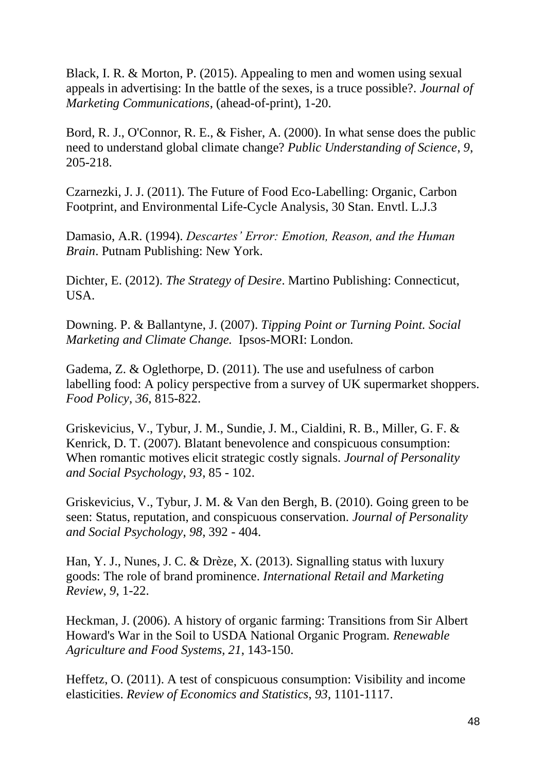Black, I. R. & Morton, P. (2015). Appealing to men and women using sexual appeals in advertising: In the battle of the sexes, is a truce possible?. *Journal of Marketing Communications*, (ahead-of-print), 1-20.

Bord, R. J., O'Connor, R. E., & Fisher, A. (2000). In what sense does the public need to understand global climate change? *Public Understanding of Science*, *9*, 205-218.

Czarnezki, J. J. (2011). The Future of Food Eco-Labelling: Organic, Carbon Footprint, and Environmental Life-Cycle Analysis, 30 Stan. Envtl. L.J.3

Damasio, A.R. (1994). *Descartes' Error: Emotion, Reason, and the Human Brain*. Putnam Publishing: New York.

Dichter, E. (2012). *The Strategy of Desire*. Martino Publishing: Connecticut, USA.

Downing. P. & Ballantyne, J. (2007). *Tipping Point or Turning Point. Social Marketing and Climate Change.* Ipsos-MORI: London*.* 

Gadema, Z. & Oglethorpe, D. (2011). The use and usefulness of carbon labelling food: A policy perspective from a survey of UK supermarket shoppers. *Food Policy*, *36*, 815-822.

Griskevicius, V., Tybur, J. M., Sundie, J. M., Cialdini, R. B., Miller, G. F. & Kenrick, D. T. (2007). Blatant benevolence and conspicuous consumption: When romantic motives elicit strategic costly signals. *Journal of Personality and Social Psychology*, *93*, 85 - 102.

Griskevicius, V., Tybur, J. M. & Van den Bergh, B. (2010). Going green to be seen: Status, reputation, and conspicuous conservation. *Journal of Personality and Social Psychology*, *98*, 392 - 404.

Han, Y. J., Nunes, J. C. & Drèze, X. (2013). Signalling status with luxury goods: The role of brand prominence. *International Retail and Marketing Review*, *9*, 1-22.

Heckman, J. (2006). A history of organic farming: Transitions from Sir Albert Howard's War in the Soil to USDA National Organic Program. *Renewable Agriculture and Food Systems, 21*, 143-150.

Heffetz, O. (2011). A test of conspicuous consumption: Visibility and income elasticities. *Review of Economics and Statistics*, *93*, 1101-1117.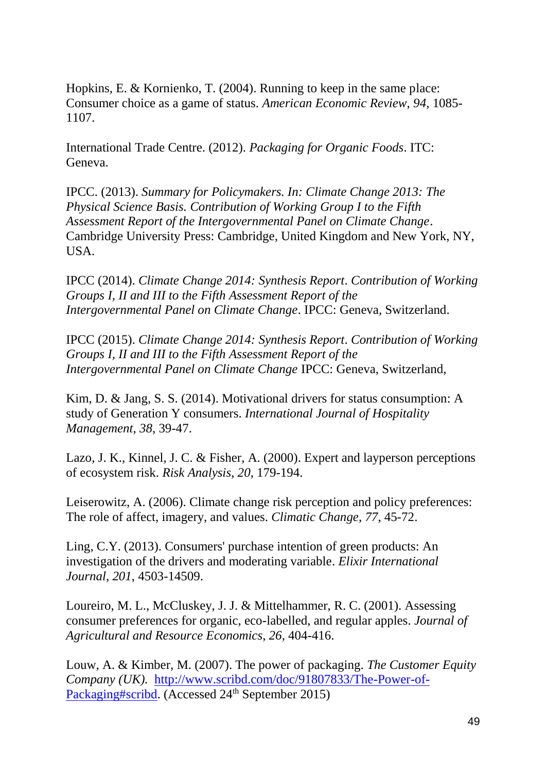Hopkins, E. & Kornienko, T. (2004). Running to keep in the same place: Consumer choice as a game of status. *American Economic Review*, *94*, 1085- 1107.

International Trade Centre. (2012). *Packaging for Organic Foods*. ITC: Geneva.

IPCC. (2013). *Summary for Policymakers. In: Climate Change 2013: The Physical Science Basis. Contribution of Working Group I to the Fifth Assessment Report of the Intergovernmental Panel on Climate Change*. Cambridge University Press: Cambridge, United Kingdom and New York, NY, USA.

IPCC (2014). *Climate Change 2014: Synthesis Report*. *Contribution of Working Groups I, II and III to the Fifth Assessment Report of the Intergovernmental Panel on Climate Change*. IPCC: Geneva, Switzerland.

IPCC (2015). *Climate Change 2014: Synthesis Report*. *Contribution of Working Groups I, II and III to the Fifth Assessment Report of the Intergovernmental Panel on Climate Change* IPCC: Geneva, Switzerland,

Kim, D. & Jang, S. S. (2014). Motivational drivers for status consumption: A study of Generation Y consumers. *International Journal of Hospitality Management*, *38*, 39-47.

Lazo, J. K., Kinnel, J. C. & Fisher, A. (2000). Expert and layperson perceptions of ecosystem risk. *Risk Analysis*, *20*, 179-194.

Leiserowitz, A. (2006). Climate change risk perception and policy preferences: The role of affect, imagery, and values. *Climatic Change*, *77*, 45-72.

Ling, C.Y. (2013). Consumers' purchase intention of green products: An investigation of the drivers and moderating variable. *Elixir International Journal*, *201*, 4503-14509.

Loureiro, M. L., McCluskey, J. J. & Mittelhammer, R. C. (2001). Assessing consumer preferences for organic, eco-labelled, and regular apples. *Journal of Agricultural and Resource Economics*, *26,* 404-416.

Louw, A. & Kimber, M. (2007). The power of packaging. *The Customer Equity Company (UK).* [http://www.scribd.com/doc/91807833/The-Power-of-](http://www.scribd.com/doc/91807833/The-Power-of-Packaging#scribd)[Packaging#scribd.](http://www.scribd.com/doc/91807833/The-Power-of-Packaging#scribd) (Accessed 24<sup>th</sup> September 2015)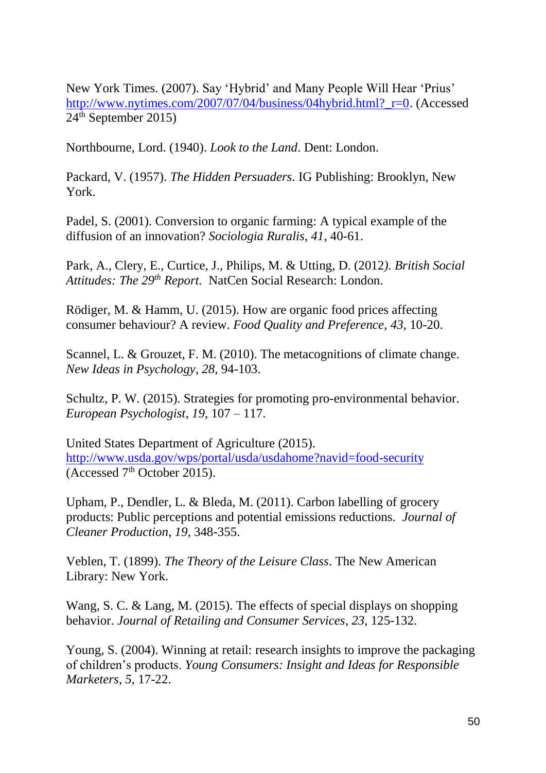New York Times. (2007). Say 'Hybrid' and Many People Will Hear 'Prius' [http://www.nytimes.com/2007/07/04/business/04hybrid.html?\\_r=0.](http://www.nytimes.com/2007/07/04/business/04hybrid.html?_r=0) (Accessed  $24<sup>th</sup>$  September 2015)

Northbourne, Lord. (1940). *Look to the Land*. Dent: London.

Packard, V. (1957). *The Hidden Persuaders*. IG Publishing: Brooklyn, New York.

Padel, S. (2001). Conversion to organic farming: A typical example of the diffusion of an innovation? *Sociologia Ruralis*, *41*, 40-61.

Park, A., Clery, E., Curtice, J., Philips, M. & Utting, D. (2012*). British Social Attitudes: The 29th Report.* NatCen Social Research: London.

Rödiger, M. & Hamm, U. (2015). How are organic food prices affecting consumer behaviour? A review. *Food Quality and Preference*, *43*, 10-20.

Scannel, L. & Grouzet, F. M. (2010). The metacognitions of climate change. *New Ideas in Psychology*, *28*, 94-103.

Schultz, P. W. (2015). Strategies for promoting pro-environmental behavior. *European Psychologist*, *19*, 107 – 117.

United States Department of Agriculture (2015). <http://www.usda.gov/wps/portal/usda/usdahome?navid=food-security> (Accessed  $7<sup>th</sup>$  October 2015).

Upham, P., Dendler, L. & Bleda, M. (2011). Carbon labelling of grocery products: Public perceptions and potential emissions reductions. *Journal of Cleaner Production*, *19*, 348-355.

Veblen, T. (1899). *The Theory of the Leisure Class*. The New American Library: New York.

Wang, S. C. & Lang, M. (2015). The effects of special displays on shopping behavior. *Journal of Retailing and Consumer Services*, *23*, 125-132.

Young, S. (2004). Winning at retail: research insights to improve the packaging of children's products. *Young Consumers: Insight and Ideas for Responsible Marketers*, *5*, 17-22.